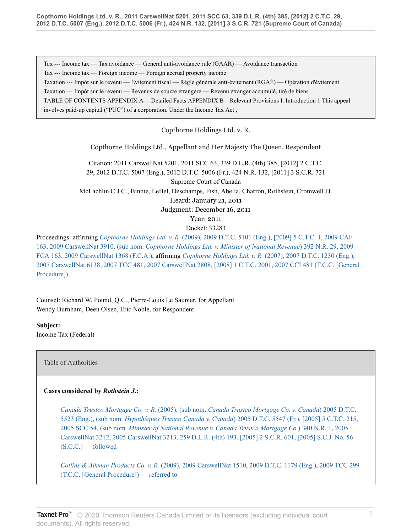Tax --- Income tax — Tax avoidance — General anti-avoidance rule (GAAR) — Avoidance transaction Tax --- Income tax — Foreign income — Foreign accrual property income Taxation --- Impôt sur le revenu — Évitement fiscal — Règle générale anti-évitement (RGAÉ) — Opération d'évitement Taxation --- Impôt sur le revenu — Revenus de source étrangère — Revenu étranger accumulé, tiré de biens TABLE OF CONTENTS APPENDIX A— Detailed Facts APPENDIX B—Relevant Provisions I. Introduction 1 This appeal involves paid-up capital ("PUC") of a corporation. Under the Income Tax Act ,

Copthorne Holdings Ltd. v. R.

Copthorne Holdings Ltd., Appellant and Her Majesty The Queen, Respondent

Citation: 2011 CarswellNat 5201, 2011 SCC 63, 339 D.L.R. (4th) 385, [2012] 2 C.T.C. 29, 2012 D.T.C. 5007 (Eng.), 2012 D.T.C. 5006 (Fr.), 424 N.R. 132, [2011] 3 S.C.R. 721 Supreme Court of Canada McLachlin C.J.C., Binnie, LeBel, Deschamps, Fish, Abella, Charron, Rothstein, Cromwell JJ. Heard: January 21, 2011 Judgment: December 16, 2011 Year: 2011 Docket: 33283

Proceedings: affirming *Copthorne Holdings Ltd. v. R.* [\(2009\), 2009 D.T.C. 5101 \(Eng.\), \[2009\] 5 C.T.C. 1, 2009 CAF](http://v3.taxnetpro.com/Document/I8d7d93935b225dece0440003ba833f85/View/FullText.html?originationContext=document&vr=3.0&rs=cblt1.0&transitionType=DocumentItem&contextData=(sc.Search)) 163, 2009 CarswellNat 3910, (sub nom. *[Copthorne Holdings Ltd. v. Minister of National Revenue](http://v3.taxnetpro.com/Document/I8d7d93935b225dece0440003ba833f85/View/FullText.html?originationContext=document&vr=3.0&rs=cblt1.0&transitionType=DocumentItem&contextData=(sc.Search))*) 392 N.R. 29, 2009 [FCA 163, 2009 CarswellNat 1368 \(F.C.A.\)](http://v3.taxnetpro.com/Document/I8d7d93935b225dece0440003ba833f85/View/FullText.html?originationContext=document&vr=3.0&rs=cblt1.0&transitionType=DocumentItem&contextData=(sc.Search)), affirming *Copthorne Holdings Ltd. v. R.* [\(2007\), 2007 D.T.C. 1230 \(Eng.\),](http://v3.taxnetpro.com/Document/I8d7d93937e175dece0440003ba833f85/View/FullText.html?originationContext=document&vr=3.0&rs=cblt1.0&transitionType=DocumentItem&contextData=(sc.Search)) [2007 CarswellNat 6138, 2007 TCC 481, 2007 CarswellNat 2808, \[2008\] 1 C.T.C. 2001, 2007 CCI 481 \(T.C.C. \[General](http://v3.taxnetpro.com/Document/I8d7d93937e175dece0440003ba833f85/View/FullText.html?originationContext=document&vr=3.0&rs=cblt1.0&transitionType=DocumentItem&contextData=(sc.Search)) [Procedure\]\)](http://v3.taxnetpro.com/Document/I8d7d93937e175dece0440003ba833f85/View/FullText.html?originationContext=document&vr=3.0&rs=cblt1.0&transitionType=DocumentItem&contextData=(sc.Search))

Counsel: Richard W. Pound, Q.C., Pierre-Louis Le Saunier, for Appellant Wendy Burnham, Deen Olsen, Eric Noble, for Respondent

**Subject:** Income Tax (Federal)

Table of Authorities

# **Cases considered by** *Rothstein J.***:**

*Canada Trustco Mortgage Co. v. R.* (2005), (sub nom. *[Canada Trustco Mortgage Co. v. Canada](http://v3.taxnetpro.com/Document/I8d7d939394245dece0440003ba833f85/View/FullText.html?originationContext=document&vr=3.0&rs=cblt1.0&transitionType=DocumentItem&contextData=(sc.Search))*) 2005 D.T.C. 5523 (Eng.), (sub nom. *Hypothèques Trustco Canada v. Canada*[\) 2005 D.T.C. 5547 \(Fr.\), \[2005\] 5 C.T.C. 215,](http://v3.taxnetpro.com/Document/I8d7d939394245dece0440003ba833f85/View/FullText.html?originationContext=document&vr=3.0&rs=cblt1.0&transitionType=DocumentItem&contextData=(sc.Search)) 2005 SCC 54, (sub nom. *[Minister of National Revenue v. Canada Trustco Mortgage Co.](http://v3.taxnetpro.com/Document/I8d7d939394245dece0440003ba833f85/View/FullText.html?originationContext=document&vr=3.0&rs=cblt1.0&transitionType=DocumentItem&contextData=(sc.Search))*) 340 N.R. 1, 2005 [CarswellNat 3212, 2005 CarswellNat 3213, 259 D.L.R. \(4th\) 193, \[2005\] 2 S.C.R. 601, \[2005\] S.C.J. No. 56](http://v3.taxnetpro.com/Document/I8d7d939394245dece0440003ba833f85/View/FullText.html?originationContext=document&vr=3.0&rs=cblt1.0&transitionType=DocumentItem&contextData=(sc.Search))  $(S.C.C.)$  — followed

*Collins & Aikman Products Co. v. R.* [\(2009\), 2009 CarswellNat 1510, 2009 D.T.C. 1179 \(Eng.\), 2009 TCC 299](http://v3.taxnetpro.com/Document/I8d7d93935ce25dece0440003ba833f85/View/FullText.html?originationContext=document&vr=3.0&rs=cblt1.0&transitionType=DocumentItem&contextData=(sc.Search)) [\(T.C.C. \[General Procedure\]\) — referred to](http://v3.taxnetpro.com/Document/I8d7d93935ce25dece0440003ba833f85/View/FullText.html?originationContext=document&vr=3.0&rs=cblt1.0&transitionType=DocumentItem&contextData=(sc.Search))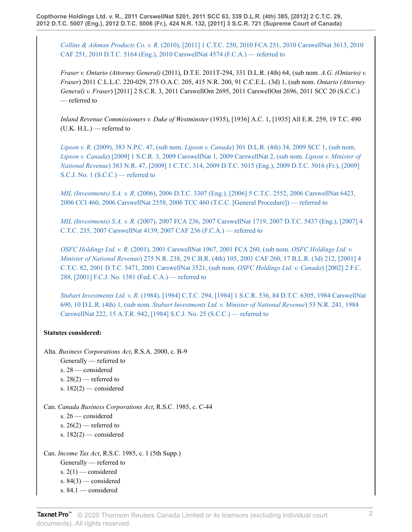*Collins & Aikman Products Co. v. R.* [\(2010\), \[2011\] 1 C.T.C. 250, 2010 FCA 251, 2010 CarswellNat 3613, 2010](http://v3.taxnetpro.com/Document/I9310e05a51c227a3e0440003ba833f85/View/FullText.html?originationContext=document&vr=3.0&rs=cblt1.0&transitionType=DocumentItem&contextData=(sc.Search)) [CAF 251, 2010 D.T.C. 5164 \(Eng.\), 2010 CarswellNat 4574 \(F.C.A.\) — referred to](http://v3.taxnetpro.com/Document/I9310e05a51c227a3e0440003ba833f85/View/FullText.html?originationContext=document&vr=3.0&rs=cblt1.0&transitionType=DocumentItem&contextData=(sc.Search))

*Fraser v. Ontario (Attorney General)* (2011), D.T.E. 2011T-294, 331 D.L.R. (4th) 64, (sub nom. *A.G. (Ontario) v. Fraser*) 2011 C.L.L.C. 220-029, 275 O.A.C. 205, 415 N.R. 200, 91 C.C.E.L. (3d) 1, (sub nom. *Ontario (Attorney General) v. Fraser*) [2011] 2 S.C.R. 3, 2011 CarswellOnt 2695, 2011 CarswellOnt 2696, 2011 SCC 20 (S.C.C.) — referred to

*Inland Revenue Commissioners v. Duke of Westminster* (1935), [1936] A.C. 1, [1935] All E.R. 259, 19 T.C. 490 (U.K. H.L.) — referred to

*Lipson v. R.* (2009), 383 N.P.C. 47, (sub nom. *Lipson v. Canada*[\) 301 D.L.R. \(4th\) 34, 2009 SCC 1, \(sub nom.](http://v3.taxnetpro.com/Document/I8d7d93935ae45dece0440003ba833f85/View/FullText.html?originationContext=document&vr=3.0&rs=cblt1.0&transitionType=DocumentItem&contextData=(sc.Search)) *Lipson v. Canada*[\) \[2009\] 1 S.C.R. 3, 2009 CarswellNat 1, 2009 CarswellNat 2, \(sub nom.](http://v3.taxnetpro.com/Document/I8d7d93935ae45dece0440003ba833f85/View/FullText.html?originationContext=document&vr=3.0&rs=cblt1.0&transitionType=DocumentItem&contextData=(sc.Search)) *Lipson v. Minister of National Revenue*[\) 383 N.R. 47, \[2009\] 1 C.T.C. 314, 2009 D.T.C. 5015 \(Eng.\), 2009 D.T.C. 5016 \(Fr.\), \[2009\]](http://v3.taxnetpro.com/Document/I8d7d93935ae45dece0440003ba833f85/View/FullText.html?originationContext=document&vr=3.0&rs=cblt1.0&transitionType=DocumentItem&contextData=(sc.Search)) [S.C.J. No. 1 \(S.C.C.\) — referred to](http://v3.taxnetpro.com/Document/I8d7d93935ae45dece0440003ba833f85/View/FullText.html?originationContext=document&vr=3.0&rs=cblt1.0&transitionType=DocumentItem&contextData=(sc.Search))

*MIL (Investments) S.A. v. R.* [\(2006\), 2006 D.T.C. 3307 \(Eng.\), \[2006\] 5 C.T.C. 2552, 2006 CarswellNat 6423,](http://v3.taxnetpro.com/Document/I8d7d93938fbb5dece0440003ba833f85/View/FullText.html?originationContext=document&vr=3.0&rs=cblt1.0&transitionType=DocumentItem&contextData=(sc.Search)) [2006 CCI 460, 2006 CarswellNat 2558, 2006 TCC 460 \(T.C.C. \[General Procedure\]\) — referred to](http://v3.taxnetpro.com/Document/I8d7d93938fbb5dece0440003ba833f85/View/FullText.html?originationContext=document&vr=3.0&rs=cblt1.0&transitionType=DocumentItem&contextData=(sc.Search))

*MIL (Investments) S.A. v. R.* [\(2007\), 2007 FCA 236, 2007 CarswellNat 1719, 2007 D.T.C. 5437 \(Eng.\), \[2007\] 4](http://v3.taxnetpro.com/Document/I8d7d939372f75dece0440003ba833f85/View/FullText.html?originationContext=document&vr=3.0&rs=cblt1.0&transitionType=DocumentItem&contextData=(sc.Search)) [C.T.C. 235, 2007 CarswellNat 4139, 2007 CAF 236 \(F.C.A.\) — referred to](http://v3.taxnetpro.com/Document/I8d7d939372f75dece0440003ba833f85/View/FullText.html?originationContext=document&vr=3.0&rs=cblt1.0&transitionType=DocumentItem&contextData=(sc.Search))

*OSFC Holdings Ltd. v. R.* [\(2001\), 2001 CarswellNat 1967, 2001 FCA 260, \(sub nom.](http://v3.taxnetpro.com/Document/I8d7d9393e22e5dece0440003ba833f85/View/FullText.html?originationContext=document&vr=3.0&rs=cblt1.0&transitionType=DocumentItem&contextData=(sc.Search)) *OSFC Holdings Ltd. v. Minister of National Revenue*[\) 275 N.R. 238, 29 C.B.R. \(4th\) 105, 2001 CAF 260, 17 B.L.R. \(3d\) 212, \[2001\] 4](http://v3.taxnetpro.com/Document/I8d7d9393e22e5dece0440003ba833f85/View/FullText.html?originationContext=document&vr=3.0&rs=cblt1.0&transitionType=DocumentItem&contextData=(sc.Search)) [C.T.C. 82, 2001 D.T.C. 5471, 2001 CarswellNat 3521, \(sub nom.](http://v3.taxnetpro.com/Document/I8d7d9393e22e5dece0440003ba833f85/View/FullText.html?originationContext=document&vr=3.0&rs=cblt1.0&transitionType=DocumentItem&contextData=(sc.Search)) *OSFC Holdings Ltd. v. Canada*) [2002] 2 F.C. [288, \[2001\] F.C.J. No. 1381 \(Fed. C.A.\) — referred to](http://v3.taxnetpro.com/Document/I8d7d9393e22e5dece0440003ba833f85/View/FullText.html?originationContext=document&vr=3.0&rs=cblt1.0&transitionType=DocumentItem&contextData=(sc.Search))

*Stubart Investments Ltd. v. R.* [\(1984\), \[1984\] C.T.C. 294, \[1984\] 1 S.C.R. 536, 84 D.T.C. 6305, 1984 CarswellNat](http://v3.taxnetpro.com/Document/I8d7d939468ac5dece0440003ba833f85/View/FullText.html?originationContext=document&vr=3.0&rs=cblt1.0&transitionType=DocumentItem&contextData=(sc.Search)) 690, 10 D.L.R. (4th) 1, (sub nom. *[Stubart Investments Ltd. v. Minister of National Revenue](http://v3.taxnetpro.com/Document/I8d7d939468ac5dece0440003ba833f85/View/FullText.html?originationContext=document&vr=3.0&rs=cblt1.0&transitionType=DocumentItem&contextData=(sc.Search))*) 53 N.R. 241, 1984 [CarswellNat 222, 15 A.T.R. 942, \[1984\] S.C.J. No. 25 \(S.C.C.\) — referred to](http://v3.taxnetpro.com/Document/I8d7d939468ac5dece0440003ba833f85/View/FullText.html?originationContext=document&vr=3.0&rs=cblt1.0&transitionType=DocumentItem&contextData=(sc.Search))

# **Statutes considered:**

Alta. *Business Corporations Act*, R.S.A. 2000, c. B-9

- Generally referred to
- s. 28 considered
- s.  $28(2)$  referred to
- s.  $182(2)$  considered

Can. *Canada Business Corporations Act*, R.S.C. 1985, c. C-44

- s. 26 considered
- s.  $26(2)$  referred to
- s.  $182(2)$  considered

Can. *Income Tax Act*, R.S.C. 1985, c. 1 (5th Supp.) Generally — referred to s.  $2(1)$  — considered

- s.  $84(3)$  considered
- s. 84.1 considered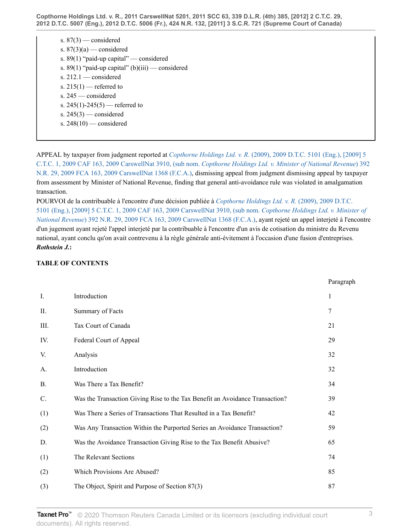s.  $87(3)$  — considered s.  $87(3)(a)$  — considered s. 89(1) "paid-up capital" — considered s.  $89(1)$  "paid-up capital" (b)(iii) — considered s. 212.1 — considered s.  $215(1)$  — referred to s. 245 — considered s.  $245(1) - 245(5)$  — referred to s.  $245(3)$  — considered s.  $248(10)$  — considered

APPEAL by taxpayer from judgment reported at *Copthorne Holdings Ltd. v. R.* [\(2009\), 2009 D.T.C. 5101 \(Eng.\), \[2009\] 5](http://v3.taxnetpro.com/Document/I8d7d93935b225dece0440003ba833f85/View/FullText.html?originationContext=document&vr=3.0&rs=cblt1.0&transitionType=DocumentItem&contextData=(sc.Search)) [C.T.C. 1, 2009 CAF 163, 2009 CarswellNat 3910, \(sub nom.](http://v3.taxnetpro.com/Document/I8d7d93935b225dece0440003ba833f85/View/FullText.html?originationContext=document&vr=3.0&rs=cblt1.0&transitionType=DocumentItem&contextData=(sc.Search)) *Copthorne Holdings Ltd. v. Minister of National Revenue*) 392 [N.R. 29, 2009 FCA 163, 2009 CarswellNat 1368 \(F.C.A.\)](http://v3.taxnetpro.com/Document/I8d7d93935b225dece0440003ba833f85/View/FullText.html?originationContext=document&vr=3.0&rs=cblt1.0&transitionType=DocumentItem&contextData=(sc.Search)), dismissing appeal from judgment dismissing appeal by taxpayer from assessment by Minister of National Revenue, finding that general anti-avoidance rule was violated in amalgamation transaction.

POURVOI de la contribuable à l'encontre d'une décision publiée à *[Copthorne Holdings Ltd. v. R.](http://v3.taxnetpro.com/Document/I8d7d93935b225dece0440003ba833f85/View/FullText.html?originationContext=document&vr=3.0&rs=cblt1.0&transitionType=DocumentItem&contextData=(sc.Search))* (2009), 2009 D.T.C. [5101 \(Eng.\), \[2009\] 5 C.T.C. 1, 2009 CAF 163, 2009 CarswellNat 3910, \(sub nom.](http://v3.taxnetpro.com/Document/I8d7d93935b225dece0440003ba833f85/View/FullText.html?originationContext=document&vr=3.0&rs=cblt1.0&transitionType=DocumentItem&contextData=(sc.Search)) *Copthorne Holdings Ltd. v. Minister of National Revenue*[\) 392 N.R. 29, 2009 FCA 163, 2009 CarswellNat 1368 \(F.C.A.\),](http://v3.taxnetpro.com/Document/I8d7d93935b225dece0440003ba833f85/View/FullText.html?originationContext=document&vr=3.0&rs=cblt1.0&transitionType=DocumentItem&contextData=(sc.Search)) ayant rejeté un appel interjeté à l'encontre d'un jugement ayant rejeté l'appel interjeté par la contribuable à l'encontre d'un avis de cotisation du ministre du Revenu national, ayant conclu qu'on avait contrevenu à la règle générale anti-évitement à l'occasion d'une fusion d'entreprises. *Rothstein J.***:**

# **TABLE OF CONTENTS**

|             |                                                                              | Paragraph    |
|-------------|------------------------------------------------------------------------------|--------------|
| $I_{\cdot}$ | Introduction                                                                 | $\mathbf{1}$ |
| П.          | Summary of Facts                                                             | 7            |
| III.        | Tax Court of Canada                                                          | 21           |
| IV.         | Federal Court of Appeal                                                      | 29           |
| V.          | Analysis                                                                     | 32           |
| A.          | Introduction                                                                 | 32           |
| <b>B.</b>   | Was There a Tax Benefit?                                                     | 34           |
| C.          | Was the Transaction Giving Rise to the Tax Benefit an Avoidance Transaction? | 39           |
| (1)         | Was There a Series of Transactions That Resulted in a Tax Benefit?           | 42           |
| (2)         | Was Any Transaction Within the Purported Series an Avoidance Transaction?    | 59           |
| D.          | Was the Avoidance Transaction Giving Rise to the Tax Benefit Abusive?        | 65           |
| (1)         | The Relevant Sections                                                        | 74           |
| (2)         | Which Provisions Are Abused?                                                 | 85           |
| (3)         | The Object, Spirit and Purpose of Section 87(3)                              | 87           |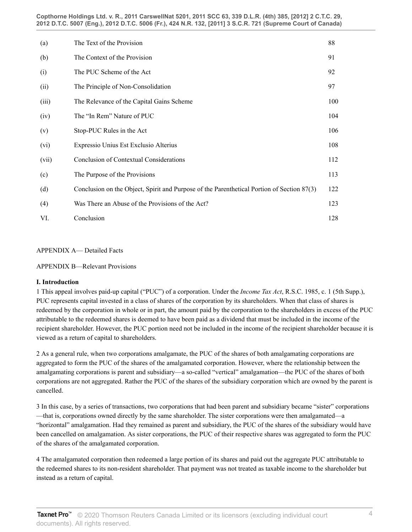**Copthorne Holdings Ltd. v. R., 2011 CarswellNat 5201, 2011 SCC 63, 339 D.L.R. (4th) 385, [2012] 2 C.T.C. 29, 2012 D.T.C. 5007 (Eng.), 2012 D.T.C. 5006 (Fr.), 424 N.R. 132, [2011] 3 S.C.R. 721 (Supreme Court of Canada)**

| (a)   | The Text of the Provision                                                                  | 88  |
|-------|--------------------------------------------------------------------------------------------|-----|
| (b)   | The Context of the Provision                                                               | 91  |
| (i)   | The PUC Scheme of the Act                                                                  | 92  |
| (ii)  | The Principle of Non-Consolidation                                                         | 97  |
| (iii) | The Relevance of the Capital Gains Scheme                                                  | 100 |
| (iv)  | The "In Rem" Nature of PUC                                                                 | 104 |
| (v)   | Stop-PUC Rules in the Act                                                                  | 106 |
| (vi)  | Expressio Unius Est Exclusio Alterius                                                      | 108 |
| (vii) | Conclusion of Contextual Considerations                                                    | 112 |
| (c)   | The Purpose of the Provisions                                                              | 113 |
| (d)   | Conclusion on the Object, Spirit and Purpose of the Parenthetical Portion of Section 87(3) | 122 |
| (4)   | Was There an Abuse of the Provisions of the Act?                                           | 123 |
| VI.   | Conclusion                                                                                 | 128 |

APPENDIX A— Detailed Facts

APPENDIX B—Relevant Provisions

#### **I. Introduction**

1 This appeal involves paid-up capital ("PUC") of a corporation. Under the *Income Tax Act*, R.S.C. 1985, c. 1 (5th Supp.), PUC represents capital invested in a class of shares of the corporation by its shareholders. When that class of shares is redeemed by the corporation in whole or in part, the amount paid by the corporation to the shareholders in excess of the PUC attributable to the redeemed shares is deemed to have been paid as a dividend that must be included in the income of the recipient shareholder. However, the PUC portion need not be included in the income of the recipient shareholder because it is viewed as a return of capital to shareholders.

2 As a general rule, when two corporations amalgamate, the PUC of the shares of both amalgamating corporations are aggregated to form the PUC of the shares of the amalgamated corporation. However, where the relationship between the amalgamating corporations is parent and subsidiary—a so-called "vertical" amalgamation—the PUC of the shares of both corporations are not aggregated. Rather the PUC of the shares of the subsidiary corporation which are owned by the parent is cancelled.

3 In this case, by a series of transactions, two corporations that had been parent and subsidiary became "sister" corporations —that is, corporations owned directly by the same shareholder. The sister corporations were then amalgamated—a "horizontal" amalgamation. Had they remained as parent and subsidiary, the PUC of the shares of the subsidiary would have been cancelled on amalgamation. As sister corporations, the PUC of their respective shares was aggregated to form the PUC of the shares of the amalgamated corporation.

4 The amalgamated corporation then redeemed a large portion of its shares and paid out the aggregate PUC attributable to the redeemed shares to its non-resident shareholder. That payment was not treated as taxable income to the shareholder but instead as a return of capital.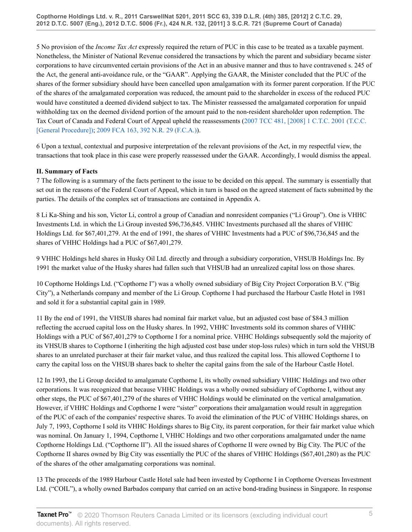5 No provision of the *Income Tax Act* expressly required the return of PUC in this case to be treated as a taxable payment. Nonetheless, the Minister of National Revenue considered the transactions by which the parent and subsidiary became sister corporations to have circumvented certain provisions of the Act in an abusive manner and thus to have contravened s. 245 of the Act, the general anti-avoidance rule, or the "GAAR". Applying the GAAR, the Minister concluded that the PUC of the shares of the former subsidiary should have been cancelled upon amalgamation with its former parent corporation. If the PUC of the shares of the amalgamated corporation was reduced, the amount paid to the shareholder in excess of the reduced PUC would have constituted a deemed dividend subject to tax. The Minister reassessed the amalgamated corporation for unpaid withholding tax on the deemed dividend portion of the amount paid to the non-resident shareholder upon redemption. The Tax Court of Canada and Federal Court of Appeal upheld the reassessments ([2007 TCC 481, \[2008\] 1 C.T.C. 2001 \(T.C.C.](http://v3.taxnetpro.com/Document/I8d7d93937e175dece0440003ba833f85/View/FullText.html?originationContext=document&vr=3.0&rs=cblt1.0&transitionType=DocumentItem&contextData=(sc.Search)) [\[General Procedure\]\);](http://v3.taxnetpro.com/Document/I8d7d93937e175dece0440003ba833f85/View/FullText.html?originationContext=document&vr=3.0&rs=cblt1.0&transitionType=DocumentItem&contextData=(sc.Search)) [2009 FCA 163, 392 N.R. 29 \(F.C.A.\)](http://v3.taxnetpro.com/Document/I8d7d93935b225dece0440003ba833f85/View/FullText.html?originationContext=document&vr=3.0&rs=cblt1.0&transitionType=DocumentItem&contextData=(sc.Search))).

6 Upon a textual, contextual and purposive interpretation of the relevant provisions of the Act, in my respectful view, the transactions that took place in this case were properly reassessed under the GAAR. Accordingly, I would dismiss the appeal.

# **II. Summary of Facts**

7 The following is a summary of the facts pertinent to the issue to be decided on this appeal. The summary is essentially that set out in the reasons of the Federal Court of Appeal, which in turn is based on the agreed statement of facts submitted by the parties. The details of the complex set of transactions are contained in Appendix A.

8 Li Ka-Shing and his son, Victor Li, control a group of Canadian and nonresident companies ("Li Group"). One is VHHC Investments Ltd. in which the Li Group invested \$96,736,845. VHHC Investments purchased all the shares of VHHC Holdings Ltd. for \$67,401,279. At the end of 1991, the shares of VHHC Investments had a PUC of \$96,736,845 and the shares of VHHC Holdings had a PUC of \$67,401,279.

9 VHHC Holdings held shares in Husky Oil Ltd. directly and through a subsidiary corporation, VHSUB Holdings Inc. By 1991 the market value of the Husky shares had fallen such that VHSUB had an unrealized capital loss on those shares.

10 Copthorne Holdings Ltd. ("Copthorne I") was a wholly owned subsidiary of Big City Project Corporation B.V. ("Big City"), a Netherlands company and member of the Li Group. Copthorne I had purchased the Harbour Castle Hotel in 1981 and sold it for a substantial capital gain in 1989.

11 By the end of 1991, the VHSUB shares had nominal fair market value, but an adjusted cost base of \$84.3 million reflecting the accrued capital loss on the Husky shares. In 1992, VHHC Investments sold its common shares of VHHC Holdings with a PUC of \$67,401,279 to Copthorne I for a nominal price. VHHC Holdings subsequently sold the majority of its VHSUB shares to Copthorne I (inheriting the high adjusted cost base under stop-loss rules) which in turn sold the VHSUB shares to an unrelated purchaser at their fair market value, and thus realized the capital loss. This allowed Copthorne I to carry the capital loss on the VHSUB shares back to shelter the capital gains from the sale of the Harbour Castle Hotel.

12 In 1993, the Li Group decided to amalgamate Copthorne I, its wholly owned subsidiary VHHC Holdings and two other corporations. It was recognized that because VHHC Holdings was a wholly owned subsidiary of Copthorne I, without any other steps, the PUC of \$67,401,279 of the shares of VHHC Holdings would be eliminated on the vertical amalgamation. However, if VHHC Holdings and Copthorne I were "sister" corporations their amalgamation would result in aggregation of the PUC of each of the companies' respective shares. To avoid the elimination of the PUC of VHHC Holdings shares, on July 7, 1993, Copthorne I sold its VHHC Holdings shares to Big City, its parent corporation, for their fair market value which was nominal. On January 1, 1994, Copthorne I, VHHC Holdings and two other corporations amalgamated under the name Copthorne Holdings Ltd. ("Copthorne II"). All the issued shares of Copthorne II were owned by Big City. The PUC of the Copthorne II shares owned by Big City was essentially the PUC of the shares of VHHC Holdings (\$67,401,280) as the PUC of the shares of the other amalgamating corporations was nominal.

13 The proceeds of the 1989 Harbour Castle Hotel sale had been invested by Copthorne I in Copthorne Overseas Investment Ltd. ("COIL"), a wholly owned Barbados company that carried on an active bond-trading business in Singapore. In response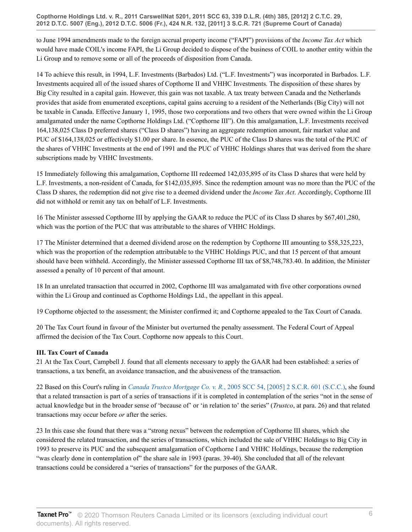to June 1994 amendments made to the foreign accrual property income ("FAPI") provisions of the *Income Tax Act* which would have made COIL's income FAPI, the Li Group decided to dispose of the business of COIL to another entity within the Li Group and to remove some or all of the proceeds of disposition from Canada.

14 To achieve this result, in 1994, L.F. Investments (Barbados) Ltd. ("L.F. Investments") was incorporated in Barbados. L.F. Investments acquired all of the issued shares of Copthorne II and VHHC Investments. The disposition of these shares by Big City resulted in a capital gain. However, this gain was not taxable. A tax treaty between Canada and the Netherlands provides that aside from enumerated exceptions, capital gains accruing to a resident of the Netherlands (Big City) will not be taxable in Canada. Effective January 1, 1995, those two corporations and two others that were owned within the Li Group amalgamated under the name Copthorne Holdings Ltd. ("Copthorne III"). On this amalgamation, L.F. Investments received 164,138,025 Class D preferred shares ("Class D shares") having an aggregate redemption amount, fair market value and PUC of \$164,138,025 or effectively \$1.00 per share. In essence, the PUC of the Class D shares was the total of the PUC of the shares of VHHC Investments at the end of 1991 and the PUC of VHHC Holdings shares that was derived from the share subscriptions made by VHHC Investments.

15 Immediately following this amalgamation, Copthorne III redeemed 142,035,895 of its Class D shares that were held by L.F. Investments, a non-resident of Canada, for \$142,035,895. Since the redemption amount was no more than the PUC of the Class D shares, the redemption did not give rise to a deemed dividend under the *Income Tax Act*. Accordingly, Copthorne III did not withhold or remit any tax on behalf of L.F. Investments.

16 The Minister assessed Copthorne III by applying the GAAR to reduce the PUC of its Class D shares by \$67,401,280, which was the portion of the PUC that was attributable to the shares of VHHC Holdings.

17 The Minister determined that a deemed dividend arose on the redemption by Copthorne III amounting to \$58,325,223, which was the proportion of the redemption attributable to the VHHC Holdings PUC, and that 15 percent of that amount should have been withheld. Accordingly, the Minister assessed Copthorne III tax of \$8,748,783.40. In addition, the Minister assessed a penalty of 10 percent of that amount.

18 In an unrelated transaction that occurred in 2002, Copthorne III was amalgamated with five other corporations owned within the Li Group and continued as Copthorne Holdings Ltd., the appellant in this appeal.

19 Copthorne objected to the assessment; the Minister confirmed it; and Copthorne appealed to the Tax Court of Canada.

20 The Tax Court found in favour of the Minister but overturned the penalty assessment. The Federal Court of Appeal affirmed the decision of the Tax Court. Copthorne now appeals to this Court.

# **III. Tax Court of Canada**

21 At the Tax Court, Campbell J. found that all elements necessary to apply the GAAR had been established: a series of transactions, a tax benefit, an avoidance transaction, and the abusiveness of the transaction.

22 Based on this Court's ruling in *Canada Trustco Mortgage Co. v. R.*[, 2005 SCC 54, \[2005\] 2 S.C.R. 601 \(S.C.C.\),](http://v3.taxnetpro.com/Document/I8d7d939394245dece0440003ba833f85/View/FullText.html?originationContext=document&vr=3.0&rs=cblt1.0&transitionType=DocumentItem&contextData=(sc.Search)) she found that a related transaction is part of a series of transactions if it is completed in contemplation of the series "not in the sense of actual knowledge but in the broader sense of 'because of' or 'in relation to' the series" (*Trustco*, at para. 26) and that related transactions may occur before *or* after the series.

23 In this case she found that there was a "strong nexus" between the redemption of Copthorne III shares, which she considered the related transaction, and the series of transactions, which included the sale of VHHC Holdings to Big City in 1993 to preserve its PUC and the subsequent amalgamation of Copthorne I and VHHC Holdings, because the redemption "was clearly done in contemplation of" the share sale in 1993 (paras. 39-40). She concluded that all of the relevant transactions could be considered a "series of transactions" for the purposes of the GAAR.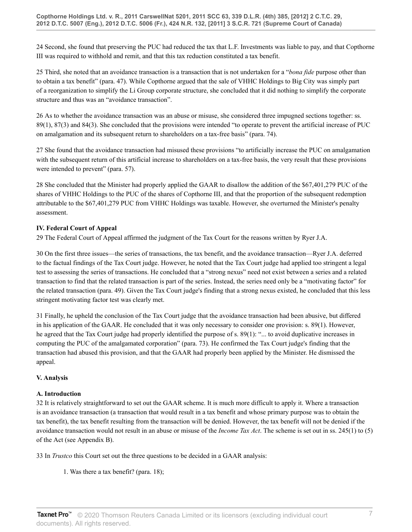24 Second, she found that preserving the PUC had reduced the tax that L.F. Investments was liable to pay, and that Copthorne III was required to withhold and remit, and that this tax reduction constituted a tax benefit.

25 Third, she noted that an avoidance transaction is a transaction that is not undertaken for a "*bona fide* purpose other than to obtain a tax benefit" (para. 47). While Copthorne argued that the sale of VHHC Holdings to Big City was simply part of a reorganization to simplify the Li Group corporate structure, she concluded that it did nothing to simplify the corporate structure and thus was an "avoidance transaction".

26 As to whether the avoidance transaction was an abuse or misuse, she considered three impugned sections together: ss. 89(1), 87(3) and 84(3). She concluded that the provisions were intended "to operate to prevent the artificial increase of PUC on amalgamation and its subsequent return to shareholders on a tax-free basis" (para. 74).

27 She found that the avoidance transaction had misused these provisions "to artificially increase the PUC on amalgamation with the subsequent return of this artificial increase to shareholders on a tax-free basis, the very result that these provisions were intended to prevent" (para. 57).

28 She concluded that the Minister had properly applied the GAAR to disallow the addition of the \$67,401,279 PUC of the shares of VHHC Holdings to the PUC of the shares of Copthorne III, and that the proportion of the subsequent redemption attributable to the \$67,401,279 PUC from VHHC Holdings was taxable. However, she overturned the Minister's penalty assessment.

# **IV. Federal Court of Appeal**

29 The Federal Court of Appeal affirmed the judgment of the Tax Court for the reasons written by Ryer J.A.

30 On the first three issues—the series of transactions, the tax benefit, and the avoidance transaction—Ryer J.A. deferred to the factual findings of the Tax Court judge. However, he noted that the Tax Court judge had applied too stringent a legal test to assessing the series of transactions. He concluded that a "strong nexus" need not exist between a series and a related transaction to find that the related transaction is part of the series. Instead, the series need only be a "motivating factor" for the related transaction (para. 49). Given the Tax Court judge's finding that a strong nexus existed, he concluded that this less stringent motivating factor test was clearly met.

31 Finally, he upheld the conclusion of the Tax Court judge that the avoidance transaction had been abusive, but differed in his application of the GAAR. He concluded that it was only necessary to consider one provision: s. 89(1). However, he agreed that the Tax Court judge had properly identified the purpose of s. 89(1): "... to avoid duplicative increases in computing the PUC of the amalgamated corporation" (para. 73). He confirmed the Tax Court judge's finding that the transaction had abused this provision, and that the GAAR had properly been applied by the Minister. He dismissed the appeal.

# **V. Analysis**

# **A. Introduction**

32 It is relatively straightforward to set out the GAAR scheme. It is much more difficult to apply it. Where a transaction is an avoidance transaction (a transaction that would result in a tax benefit and whose primary purpose was to obtain the tax benefit), the tax benefit resulting from the transaction will be denied. However, the tax benefit will not be denied if the avoidance transaction would not result in an abuse or misuse of the *Income Tax Act*. The scheme is set out in ss. 245(1) to (5) of the Act (see Appendix B).

33 In *Trustco* this Court set out the three questions to be decided in a GAAR analysis:

1. Was there a tax benefit? (para. 18);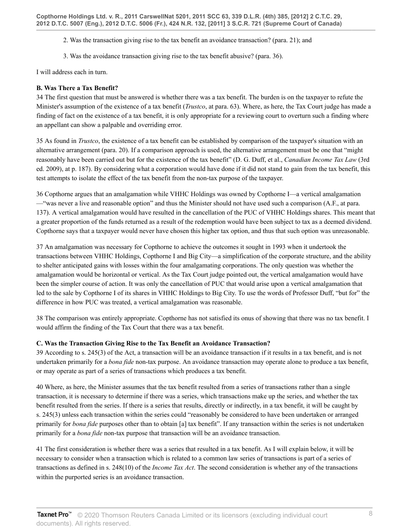- 2. Was the transaction giving rise to the tax benefit an avoidance transaction? (para. 21); and
- 3. Was the avoidance transaction giving rise to the tax benefit abusive? (para. 36).

I will address each in turn.

# **B. Was There a Tax Benefit?**

34 The first question that must be answered is whether there was a tax benefit. The burden is on the taxpayer to refute the Minister's assumption of the existence of a tax benefit (*Trustco*, at para. 63). Where, as here, the Tax Court judge has made a finding of fact on the existence of a tax benefit, it is only appropriate for a reviewing court to overturn such a finding where an appellant can show a palpable and overriding error.

35 As found in *Trustco*, the existence of a tax benefit can be established by comparison of the taxpayer's situation with an alternative arrangement (para. 20). If a comparison approach is used, the alternative arrangement must be one that "might reasonably have been carried out but for the existence of the tax benefit" (D. G. Duff, et al., *Canadian Income Tax Law* (3rd ed. 2009), at p. 187). By considering what a corporation would have done if it did not stand to gain from the tax benefit, this test attempts to isolate the effect of the tax benefit from the non-tax purpose of the taxpayer.

36 Copthorne argues that an amalgamation while VHHC Holdings was owned by Copthorne I—a vertical amalgamation —"was never a live and reasonable option" and thus the Minister should not have used such a comparison (A.F., at para. 137). A vertical amalgamation would have resulted in the cancellation of the PUC of VHHC Holdings shares. This meant that a greater proportion of the funds returned as a result of the redemption would have been subject to tax as a deemed dividend. Copthorne says that a taxpayer would never have chosen this higher tax option, and thus that such option was unreasonable.

37 An amalgamation was necessary for Copthorne to achieve the outcomes it sought in 1993 when it undertook the transactions between VHHC Holdings, Copthorne I and Big City—a simplification of the corporate structure, and the ability to shelter anticipated gains with losses within the four amalgamating corporations. The only question was whether the amalgamation would be horizontal or vertical. As the Tax Court judge pointed out, the vertical amalgamation would have been the simpler course of action. It was only the cancellation of PUC that would arise upon a vertical amalgamation that led to the sale by Copthorne I of its shares in VHHC Holdings to Big City. To use the words of Professor Duff, "but for" the difference in how PUC was treated, a vertical amalgamation was reasonable.

38 The comparison was entirely appropriate. Copthorne has not satisfied its onus of showing that there was no tax benefit. I would affirm the finding of the Tax Court that there was a tax benefit.

# **C. Was the Transaction Giving Rise to the Tax Benefit an Avoidance Transaction?**

39 According to s. 245(3) of the Act, a transaction will be an avoidance transaction if it results in a tax benefit, and is not undertaken primarily for a *bona fide* non-tax purpose. An avoidance transaction may operate alone to produce a tax benefit, or may operate as part of a series of transactions which produces a tax benefit.

40 Where, as here, the Minister assumes that the tax benefit resulted from a series of transactions rather than a single transaction, it is necessary to determine if there was a series, which transactions make up the series, and whether the tax benefit resulted from the series. If there is a series that results, directly or indirectly, in a tax benefit, it will be caught by s. 245(3) unless each transaction within the series could "reasonably be considered to have been undertaken or arranged primarily for *bona fide* purposes other than to obtain [a] tax benefit". If any transaction within the series is not undertaken primarily for a *bona fide* non-tax purpose that transaction will be an avoidance transaction.

41 The first consideration is whether there was a series that resulted in a tax benefit. As I will explain below, it will be necessary to consider when a transaction which is related to a common law series of transactions is part of a series of transactions as defined in s. 248(10) of the *Income Tax Act*. The second consideration is whether any of the transactions within the purported series is an avoidance transaction.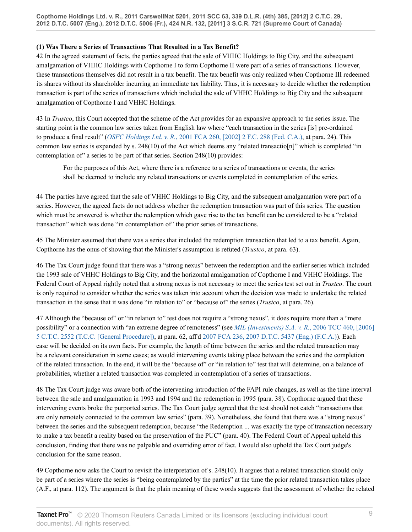#### **(1) Was There a Series of Transactions That Resulted in a Tax Benefit?**

42 In the agreed statement of facts, the parties agreed that the sale of VHHC Holdings to Big City, and the subsequent amalgamation of VHHC Holdings with Copthorne I to form Copthorne II were part of a series of transactions. However, these transactions themselves did not result in a tax benefit. The tax benefit was only realized when Copthorne III redeemed its shares without its shareholder incurring an immediate tax liability. Thus, it is necessary to decide whether the redemption transaction is part of the series of transactions which included the sale of VHHC Holdings to Big City and the subsequent amalgamation of Copthorne I and VHHC Holdings.

43 In *Trustco*, this Court accepted that the scheme of the Act provides for an expansive approach to the series issue. The starting point is the common law series taken from English law where "each transaction in the series [is] pre-ordained to produce a final result" (*OSFC Holdings Ltd. v. R.*[, 2001 FCA 260, \[2002\] 2 F.C. 288 \(Fed. C.A.\)](http://v3.taxnetpro.com/Document/I8d7d9393e22e5dece0440003ba833f85/View/FullText.html?originationContext=document&vr=3.0&rs=cblt1.0&transitionType=DocumentItem&contextData=(sc.Search)), at para. 24). This common law series is expanded by s.  $248(10)$  of the Act which deems any "related transactio[n]" which is completed "in contemplation of" a series to be part of that series. Section 248(10) provides:

For the purposes of this Act, where there is a reference to a series of transactions or events, the series shall be deemed to include any related transactions or events completed in contemplation of the series.

44 The parties have agreed that the sale of VHHC Holdings to Big City, and the subsequent amalgamation were part of a series. However, the agreed facts do not address whether the redemption transaction was part of this series. The question which must be answered is whether the redemption which gave rise to the tax benefit can be considered to be a "related transaction" which was done "in contemplation of" the prior series of transactions.

45 The Minister assumed that there was a series that included the redemption transaction that led to a tax benefit. Again, Copthorne has the onus of showing that the Minister's assumption is refuted (*Trustco*, at para. 63).

46 The Tax Court judge found that there was a "strong nexus" between the redemption and the earlier series which included the 1993 sale of VHHC Holdings to Big City, and the horizontal amalgamation of Copthorne I and VHHC Holdings. The Federal Court of Appeal rightly noted that a strong nexus is not necessary to meet the series test set out in *Trustco*. The court is only required to consider whether the series was taken into account when the decision was made to undertake the related transaction in the sense that it was done "in relation to" or "because of" the series (*Trustco*, at para. 26).

47 Although the "because of" or "in relation to" test does not require a "strong nexus", it does require more than a "mere possibility" or a connection with "an extreme degree of remoteness" (see *[MIL \(Investments\) S.A. v. R.](http://v3.taxnetpro.com/Document/I8d7d93938fbb5dece0440003ba833f85/View/FullText.html?originationContext=document&vr=3.0&rs=cblt1.0&transitionType=DocumentItem&contextData=(sc.Search))*, 2006 TCC 460, [2006] [5 C.T.C. 2552 \(T.C.C. \[General Procedure\]\)](http://v3.taxnetpro.com/Document/I8d7d93938fbb5dece0440003ba833f85/View/FullText.html?originationContext=document&vr=3.0&rs=cblt1.0&transitionType=DocumentItem&contextData=(sc.Search)), at para. 62, aff'd [2007 FCA 236, 2007 D.T.C. 5437 \(Eng.\) \(F.C.A.\)\)](http://v3.taxnetpro.com/Document/I8d7d939372f75dece0440003ba833f85/View/FullText.html?originationContext=document&vr=3.0&rs=cblt1.0&transitionType=DocumentItem&contextData=(sc.Search)). Each case will be decided on its own facts. For example, the length of time between the series and the related transaction may be a relevant consideration in some cases; as would intervening events taking place between the series and the completion of the related transaction. In the end, it will be the "because of" or "in relation to" test that will determine, on a balance of probabilities, whether a related transaction was completed in contemplation of a series of transactions.

48 The Tax Court judge was aware both of the intervening introduction of the FAPI rule changes, as well as the time interval between the sale and amalgamation in 1993 and 1994 and the redemption in 1995 (para. 38). Copthorne argued that these intervening events broke the purported series. The Tax Court judge agreed that the test should not catch "transactions that are only remotely connected to the common law series" (para. 39). Nonetheless, she found that there was a "strong nexus" between the series and the subsequent redemption, because "the Redemption ... was exactly the type of transaction necessary to make a tax benefit a reality based on the preservation of the PUC" (para. 40). The Federal Court of Appeal upheld this conclusion, finding that there was no palpable and overriding error of fact. I would also uphold the Tax Court judge's conclusion for the same reason.

49 Copthorne now asks the Court to revisit the interpretation of s. 248(10). It argues that a related transaction should only be part of a series where the series is "being contemplated by the parties" at the time the prior related transaction takes place (A.F., at para. 112). The argument is that the plain meaning of these words suggests that the assessment of whether the related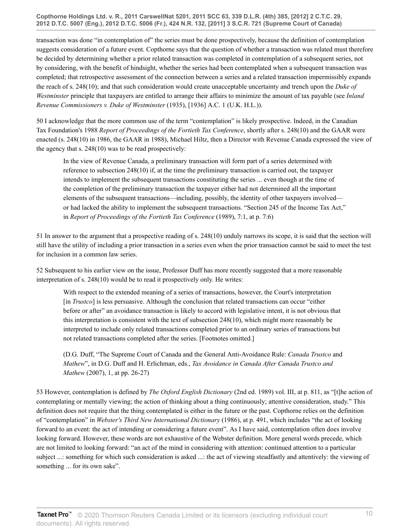**Copthorne Holdings Ltd. v. R., 2011 CarswellNat 5201, 2011 SCC 63, 339 D.L.R. (4th) 385, [2012] 2 C.T.C. 29, 2012 D.T.C. 5007 (Eng.), 2012 D.T.C. 5006 (Fr.), 424 N.R. 132, [2011] 3 S.C.R. 721 (Supreme Court of Canada)**

transaction was done "in contemplation of" the series must be done prospectively, because the definition of contemplation suggests consideration of a future event. Copthorne says that the question of whether a transaction was related must therefore be decided by determining whether a prior related transaction was completed in contemplation of a subsequent series, not by considering, with the benefit of hindsight, whether the series had been contemplated when a subsequent transaction was completed; that retrospective assessment of the connection between a series and a related transaction impermissibly expands the reach of s. 248(10); and that such consideration would create unacceptable uncertainty and trench upon the *Duke of Westminster* principle that taxpayers are entitled to arrange their affairs to minimize the amount of tax payable (see *Inland Revenue Commissioners v. Duke of Westminster* (1935), [1936] A.C. 1 (U.K. H.L.)).

50 I acknowledge that the more common use of the term "contemplation" is likely prospective. Indeed, in the Canadian Tax Foundation's 1988 *Report of Proceedings of the Fortieth Tax Conference*, shortly after s. 248(10) and the GAAR were enacted (s. 248(10) in 1986, the GAAR in 1988), Michael Hiltz, then a Director with Revenue Canada expressed the view of the agency that s. 248(10) was to be read prospectively:

In the view of Revenue Canada, a preliminary transaction will form part of a series determined with reference to subsection 248(10) if, at the time the preliminary transaction is carried out, the taxpayer intends to implement the subsequent transactions constituting the series ... even though at the time of the completion of the preliminary transaction the taxpayer either had not determined all the important elements of the subsequent transactions—including, possibly, the identity of other taxpayers involved or had lacked the ability to implement the subsequent transactions. "Section 245 of the Income Tax Act," in *Report of Proceedings of the Fortieth Tax Conference* (1989), 7:1, at p. 7:6)

51 In answer to the argument that a prospective reading of s. 248(10) unduly narrows its scope, it is said that the section will still have the utility of including a prior transaction in a series even when the prior transaction cannot be said to meet the test for inclusion in a common law series.

52 Subsequent to his earlier view on the issue, Professor Duff has more recently suggested that a more reasonable interpretation of s. 248(10) would be to read it prospectively only. He writes:

With respect to the extended meaning of a series of transactions, however, the Court's interpretation [in *Trustco*] is less persuasive. Although the conclusion that related transactions can occur "either before or after" an avoidance transaction is likely to accord with legislative intent, it is not obvious that this interpretation is consistent with the text of subsection 248(10), which might more reasonably be interpreted to include only related transactions completed prior to an ordinary series of transactions but not related transactions completed after the series. [Footnotes omitted.]

(D.G. Duff, "The Supreme Court of Canada and the General Anti-Avoidance Rule: *Canada Trustco* and *Mathew*", in D.G. Duff and H. Erlichman, eds., *Tax Avoidance in Canada After Canada Trustco and Mathew* (2007), 1, at pp. 26-27)

53 However, contemplation is defined by *The Oxford English Dictionary* (2nd ed. 1989) vol. III, at p. 811, as "[t]he action of contemplating or mentally viewing; the action of thinking about a thing continuously; attentive consideration, study." This definition does not require that the thing contemplated is either in the future or the past. Copthorne relies on the definition of "contemplation" in *Webster's Third New International Dictionary* (1986), at p. 491, which includes "the act of looking forward to an event: the act of intending or considering a future event". As I have said, contemplation often does involve looking forward. However, these words are not exhaustive of the Webster definition. More general words precede, which are not limited to looking forward: "an act of the mind in considering with attention: continued attention to a particular subject ...: something for which such consideration is asked ...: the act of viewing steadfastly and attentively: the viewing of something ... for its own sake".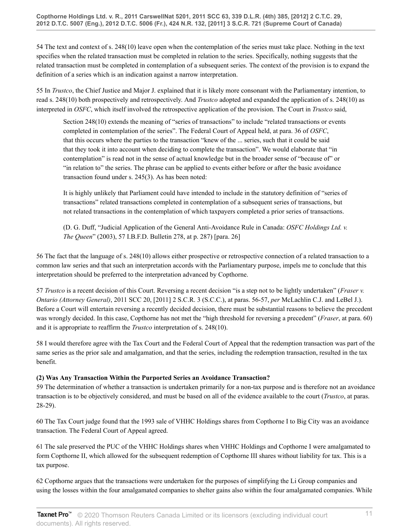54 The text and context of s. 248(10) leave open when the contemplation of the series must take place. Nothing in the text specifies when the related transaction must be completed in relation to the series. Specifically, nothing suggests that the related transaction must be completed in contemplation of a subsequent series. The context of the provision is to expand the definition of a series which is an indication against a narrow interpretation.

55 In *Trustco*, the Chief Justice and Major J. explained that it is likely more consonant with the Parliamentary intention, to read s. 248(10) both prospectively and retrospectively. And *Trustco* adopted and expanded the application of s. 248(10) as interpreted in *OSFC*, which itself involved the retrospective application of the provision. The Court in *Trustco* said,

Section 248(10) extends the meaning of "series of transactions" to include "related transactions or events completed in contemplation of the series". The Federal Court of Appeal held, at para. 36 of *OSFC*, that this occurs where the parties to the transaction "knew of the ... series, such that it could be said that they took it into account when deciding to complete the transaction". We would elaborate that "in contemplation" is read not in the sense of actual knowledge but in the broader sense of "because of" or "in relation to" the series. The phrase can be applied to events either before or after the basic avoidance transaction found under s. 245(3). As has been noted:

It is highly unlikely that Parliament could have intended to include in the statutory definition of "series of transactions" related transactions completed in contemplation of a subsequent series of transactions, but not related transactions in the contemplation of which taxpayers completed a prior series of transactions.

(D. G. Duff, "Judicial Application of the General Anti-Avoidance Rule in Canada: *OSFC Holdings Ltd. v. The Queen*" (2003), 57 I.B.F.D. Bulletin 278, at p. 287) [para. 26]

56 The fact that the language of s. 248(10) allows either prospective or retrospective connection of a related transaction to a common law series and that such an interpretation accords with the Parliamentary purpose, impels me to conclude that this interpretation should be preferred to the interpretation advanced by Copthorne.

57 *Trustco* is a recent decision of this Court. Reversing a recent decision "is a step not to be lightly undertaken" (*Fraser v. Ontario (Attorney General)*, 2011 SCC 20, [2011] 2 S.C.R. 3 (S.C.C.), at paras. 56-57, *per* McLachlin C.J. and LeBel J.). Before a Court will entertain reversing a recently decided decision, there must be substantial reasons to believe the precedent was wrongly decided. In this case, Copthorne has not met the "high threshold for reversing a precedent" (*Fraser*, at para. 60) and it is appropriate to reaffirm the *Trustco* interpretation of s. 248(10).

58 I would therefore agree with the Tax Court and the Federal Court of Appeal that the redemption transaction was part of the same series as the prior sale and amalgamation, and that the series, including the redemption transaction, resulted in the tax benefit.

# **(2) Was Any Transaction Within the Purported Series an Avoidance Transaction?**

59 The determination of whether a transaction is undertaken primarily for a non-tax purpose and is therefore not an avoidance transaction is to be objectively considered, and must be based on all of the evidence available to the court (*Trustco*, at paras. 28-29).

60 The Tax Court judge found that the 1993 sale of VHHC Holdings shares from Copthorne I to Big City was an avoidance transaction. The Federal Court of Appeal agreed.

61 The sale preserved the PUC of the VHHC Holdings shares when VHHC Holdings and Copthorne I were amalgamated to form Copthorne II, which allowed for the subsequent redemption of Copthorne III shares without liability for tax. This is a tax purpose.

62 Copthorne argues that the transactions were undertaken for the purposes of simplifying the Li Group companies and using the losses within the four amalgamated companies to shelter gains also within the four amalgamated companies. While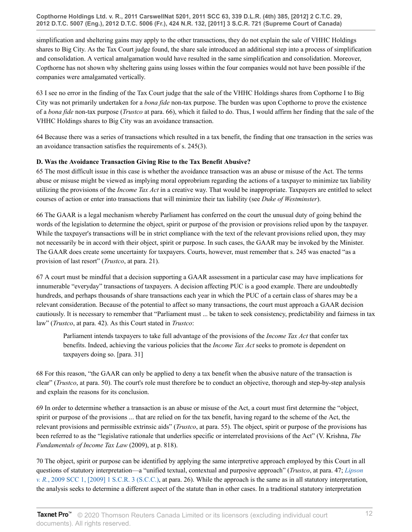simplification and sheltering gains may apply to the other transactions, they do not explain the sale of VHHC Holdings shares to Big City. As the Tax Court judge found, the share sale introduced an additional step into a process of simplification and consolidation. A vertical amalgamation would have resulted in the same simplification and consolidation. Moreover, Copthorne has not shown why sheltering gains using losses within the four companies would not have been possible if the companies were amalgamated vertically.

63 I see no error in the finding of the Tax Court judge that the sale of the VHHC Holdings shares from Copthorne I to Big City was not primarily undertaken for a *bona fide* non-tax purpose. The burden was upon Copthorne to prove the existence of a *bona fide* non-tax purpose (*Trustco* at para. 66), which it failed to do. Thus, I would affirm her finding that the sale of the VHHC Holdings shares to Big City was an avoidance transaction.

64 Because there was a series of transactions which resulted in a tax benefit, the finding that one transaction in the series was an avoidance transaction satisfies the requirements of s. 245(3).

# **D. Was the Avoidance Transaction Giving Rise to the Tax Benefit Abusive?**

65 The most difficult issue in this case is whether the avoidance transaction was an abuse or misuse of the Act. The terms abuse or misuse might be viewed as implying moral opprobrium regarding the actions of a taxpayer to minimize tax liability utilizing the provisions of the *Income Tax Act* in a creative way. That would be inappropriate. Taxpayers are entitled to select courses of action or enter into transactions that will minimize their tax liability (see *Duke of Westminster*).

66 The GAAR is a legal mechanism whereby Parliament has conferred on the court the unusual duty of going behind the words of the legislation to determine the object, spirit or purpose of the provision or provisions relied upon by the taxpayer. While the taxpayer's transactions will be in strict compliance with the text of the relevant provisions relied upon, they may not necessarily be in accord with their object, spirit or purpose. In such cases, the GAAR may be invoked by the Minister. The GAAR does create some uncertainty for taxpayers. Courts, however, must remember that s. 245 was enacted "as a provision of last resort" (*Trustco*, at para. 21).

67 A court must be mindful that a decision supporting a GAAR assessment in a particular case may have implications for innumerable "everyday" transactions of taxpayers. A decision affecting PUC is a good example. There are undoubtedly hundreds, and perhaps thousands of share transactions each year in which the PUC of a certain class of shares may be a relevant consideration. Because of the potential to affect so many transactions, the court must approach a GAAR decision cautiously. It is necessary to remember that "Parliament must ... be taken to seek consistency, predictability and fairness in tax law" (*Trustco*, at para. 42). As this Court stated in *Trustco*:

Parliament intends taxpayers to take full advantage of the provisions of the *Income Tax Act* that confer tax benefits. Indeed, achieving the various policies that the *Income Tax Act* seeks to promote is dependent on taxpayers doing so. [para. 31]

68 For this reason, "the GAAR can only be applied to deny a tax benefit when the abusive nature of the transaction is clear" (*Trustco*, at para. 50). The court's role must therefore be to conduct an objective, thorough and step-by-step analysis and explain the reasons for its conclusion.

69 In order to determine whether a transaction is an abuse or misuse of the Act, a court must first determine the "object, spirit or purpose of the provisions ... that are relied on for the tax benefit, having regard to the scheme of the Act, the relevant provisions and permissible extrinsic aids" (*Trustco*, at para. 55). The object, spirit or purpose of the provisions has been referred to as the "legislative rationale that underlies specific or interrelated provisions of the Act" (V. Krishna, *The Fundamentals of Income Tax Law* (2009), at p. 818).

70 The object, spirit or purpose can be identified by applying the same interpretive approach employed by this Court in all questions of statutory interpretation—a "unified textual, contextual and purposive approach" (*Trustco*, at para. 47; *[Lipson](http://v3.taxnetpro.com/Document/I8d7d93935ae45dece0440003ba833f85/View/FullText.html?originationContext=document&vr=3.0&rs=cblt1.0&transitionType=DocumentItem&contextData=(sc.Search)) v. R.*[, 2009 SCC 1, \[2009\] 1 S.C.R. 3 \(S.C.C.\)](http://v3.taxnetpro.com/Document/I8d7d93935ae45dece0440003ba833f85/View/FullText.html?originationContext=document&vr=3.0&rs=cblt1.0&transitionType=DocumentItem&contextData=(sc.Search)), at para. 26). While the approach is the same as in all statutory interpretation, the analysis seeks to determine a different aspect of the statute than in other cases. In a traditional statutory interpretation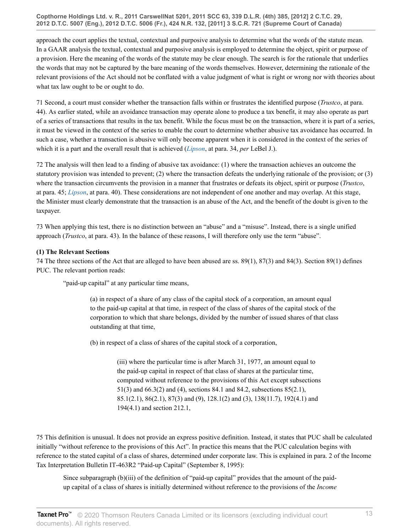approach the court applies the textual, contextual and purposive analysis to determine what the words of the statute mean. In a GAAR analysis the textual, contextual and purposive analysis is employed to determine the object, spirit or purpose of a provision. Here the meaning of the words of the statute may be clear enough. The search is for the rationale that underlies the words that may not be captured by the bare meaning of the words themselves. However, determining the rationale of the relevant provisions of the Act should not be conflated with a value judgment of what is right or wrong nor with theories about what tax law ought to be or ought to do.

71 Second, a court must consider whether the transaction falls within or frustrates the identified purpose (*Trustco*, at para. 44). As earlier stated, while an avoidance transaction may operate alone to produce a tax benefit, it may also operate as part of a series of transactions that results in the tax benefit. While the focus must be on the transaction, where it is part of a series, it must be viewed in the context of the series to enable the court to determine whether abusive tax avoidance has occurred. In such a case, whether a transaction is abusive will only become apparent when it is considered in the context of the series of which it is a part and the overall result that is achieved (*[Lipson](http://v3.taxnetpro.com/Document/I8d7d93935ae45dece0440003ba833f85/View/FullText.html?originationContext=document&vr=3.0&rs=cblt1.0&transitionType=DocumentItem&contextData=(sc.Search))*, at para. 34, *per* LeBel J.).

72 The analysis will then lead to a finding of abusive tax avoidance: (1) where the transaction achieves an outcome the statutory provision was intended to prevent; (2) where the transaction defeats the underlying rationale of the provision; or (3) where the transaction circumvents the provision in a manner that frustrates or defeats its object, spirit or purpose (*Trustco*, at para. 45; *[Lipson](http://v3.taxnetpro.com/Document/I8d7d93935ae45dece0440003ba833f85/View/FullText.html?originationContext=document&vr=3.0&rs=cblt1.0&transitionType=DocumentItem&contextData=(sc.Search))*, at para. 40). These considerations are not independent of one another and may overlap. At this stage, the Minister must clearly demonstrate that the transaction is an abuse of the Act, and the benefit of the doubt is given to the taxpayer.

73 When applying this test, there is no distinction between an "abuse" and a "misuse". Instead, there is a single unified approach (*Trustco*, at para. 43). In the balance of these reasons, I will therefore only use the term "abuse".

#### **(1) The Relevant Sections**

74 The three sections of the Act that are alleged to have been abused are ss. 89(1), 87(3) and 84(3). Section 89(1) defines PUC. The relevant portion reads:

"paid-up capital" at any particular time means,

(a) in respect of a share of any class of the capital stock of a corporation, an amount equal to the paid-up capital at that time, in respect of the class of shares of the capital stock of the corporation to which that share belongs, divided by the number of issued shares of that class outstanding at that time,

(b) in respect of a class of shares of the capital stock of a corporation,

(iii) where the particular time is after March 31, 1977, an amount equal to the paid-up capital in respect of that class of shares at the particular time, computed without reference to the provisions of this Act except subsections 51(3) and 66.3(2) and (4), sections 84.1 and 84.2, subsections 85(2.1), 85.1(2.1), 86(2.1), 87(3) and (9), 128.1(2) and (3), 138(11.7), 192(4.1) and 194(4.1) and section 212.1,

75 This definition is unusual. It does not provide an express positive definition. Instead, it states that PUC shall be calculated initially "without reference to the provisions of this Act". In practice this means that the PUC calculation begins with reference to the stated capital of a class of shares, determined under corporate law. This is explained in para. 2 of the Income Tax Interpretation Bulletin IT-463R2 "Paid-up Capital" (September 8, 1995):

Since subparagraph (b)(iii) of the definition of "paid-up capital" provides that the amount of the paidup capital of a class of shares is initially determined without reference to the provisions of the *Income*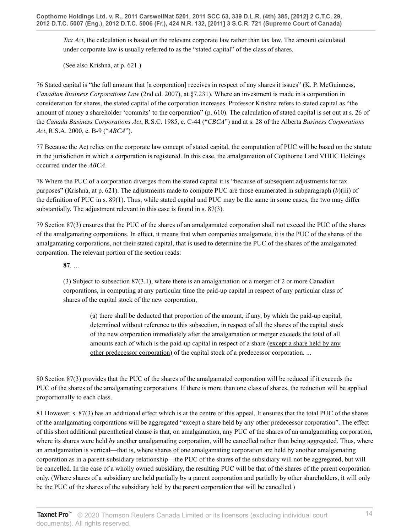*Tax Act*, the calculation is based on the relevant corporate law rather than tax law. The amount calculated under corporate law is usually referred to as the "stated capital" of the class of shares.

(See also Krishna, at p. 621.)

76 Stated capital is "the full amount that [a corporation] receives in respect of any shares it issues" (K. P. McGuinness, *Canadian Business Corporations Law* (2nd ed. 2007), at §7.231). Where an investment is made in a corporation in consideration for shares, the stated capital of the corporation increases. Professor Krishna refers to stated capital as "the amount of money a shareholder 'commits' to the corporation" (p. 610). The calculation of stated capital is set out at s. 26 of the *Canada Business Corporations Act*, R.S.C. 1985, c. C-44 ("*CBCA*") and at s. 28 of the Alberta *Business Corporations Act*, R.S.A. 2000, c. B-9 ("*ABCA*").

77 Because the Act relies on the corporate law concept of stated capital, the computation of PUC will be based on the statute in the jurisdiction in which a corporation is registered. In this case, the amalgamation of Copthorne I and VHHC Holdings occurred under the *ABCA*.

78 Where the PUC of a corporation diverges from the stated capital it is "because of subsequent adjustments for tax purposes" (Krishna, at p. 621). The adjustments made to compute PUC are those enumerated in subparagraph (*b*)(iii) of the definition of PUC in s. 89(1). Thus, while stated capital and PUC may be the same in some cases, the two may differ substantially. The adjustment relevant in this case is found in s. 87(3).

79 Section 87(3) ensures that the PUC of the shares of an amalgamated corporation shall not exceed the PUC of the shares of the amalgamating corporations. In effect, it means that when companies amalgamate, it is the PUC of the shares of the amalgamating corporations, not their stated capital, that is used to determine the PUC of the shares of the amalgamated corporation. The relevant portion of the section reads:

**87**. …

(3) Subject to subsection 87(3.1), where there is an amalgamation or a merger of 2 or more Canadian corporations, in computing at any particular time the paid-up capital in respect of any particular class of shares of the capital stock of the new corporation,

(a) there shall be deducted that proportion of the amount, if any, by which the paid-up capital, determined without reference to this subsection, in respect of all the shares of the capital stock of the new corporation immediately after the amalgamation or merger exceeds the total of all amounts each of which is the paid-up capital in respect of a share (except a share held by any other predecessor corporation) of the capital stock of a predecessor corporation. ...

80 Section 87(3) provides that the PUC of the shares of the amalgamated corporation will be reduced if it exceeds the PUC of the shares of the amalgamating corporations. If there is more than one class of shares, the reduction will be applied proportionally to each class.

81 However, s. 87(3) has an additional effect which is at the centre of this appeal. It ensures that the total PUC of the shares of the amalgamating corporations will be aggregated "except a share held by any other predecessor corporation". The effect of this short additional parenthetical clause is that, on amalgamation, any PUC of the shares of an amalgamating corporation, where its shares were held *by* another amalgamating corporation, will be cancelled rather than being aggregated. Thus, where an amalgamation is vertical—that is, where shares of one amalgamating corporation are held by another amalgamating corporation as in a parent-subsidiary relationship—the PUC of the shares of the subsidiary will not be aggregated, but will be cancelled. In the case of a wholly owned subsidiary, the resulting PUC will be that of the shares of the parent corporation only. (Where shares of a subsidiary are held partially by a parent corporation and partially by other shareholders, it will only be the PUC of the shares of the subsidiary held by the parent corporation that will be cancelled.)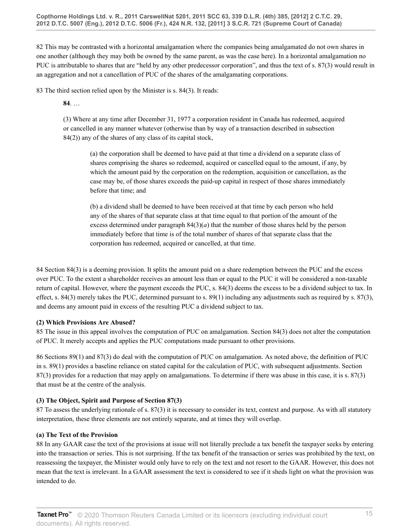82 This may be contrasted with a horizontal amalgamation where the companies being amalgamated do not own shares in one another (although they may both be owned by the same parent, as was the case here). In a horizontal amalgamation no PUC is attributable to shares that are "held by any other predecessor corporation", and thus the text of s. 87(3) would result in an aggregation and not a cancellation of PUC of the shares of the amalgamating corporations.

83 The third section relied upon by the Minister is s. 84(3). It reads:

**84**. …

(3) Where at any time after December 31, 1977 a corporation resident in Canada has redeemed, acquired or cancelled in any manner whatever (otherwise than by way of a transaction described in subsection 84(2)) any of the shares of any class of its capital stock,

(a) the corporation shall be deemed to have paid at that time a dividend on a separate class of shares comprising the shares so redeemed, acquired or cancelled equal to the amount, if any, by which the amount paid by the corporation on the redemption, acquisition or cancellation, as the case may be, of those shares exceeds the paid-up capital in respect of those shares immediately before that time; and

(b) a dividend shall be deemed to have been received at that time by each person who held any of the shares of that separate class at that time equal to that portion of the amount of the excess determined under paragraph  $84(3)(a)$  that the number of those shares held by the person immediately before that time is of the total number of shares of that separate class that the corporation has redeemed, acquired or cancelled, at that time.

84 Section 84(3) is a deeming provision. It splits the amount paid on a share redemption between the PUC and the excess over PUC. To the extent a shareholder receives an amount less than or equal to the PUC it will be considered a non-taxable return of capital. However, where the payment exceeds the PUC, s. 84(3) deems the excess to be a dividend subject to tax. In effect, s. 84(3) merely takes the PUC, determined pursuant to s. 89(1) including any adjustments such as required by s. 87(3), and deems any amount paid in excess of the resulting PUC a dividend subject to tax.

#### **(2) Which Provisions Are Abused?**

85 The issue in this appeal involves the computation of PUC on amalgamation. Section 84(3) does not alter the computation of PUC. It merely accepts and applies the PUC computations made pursuant to other provisions.

86 Sections 89(1) and 87(3) do deal with the computation of PUC on amalgamation. As noted above, the definition of PUC in s. 89(1) provides a baseline reliance on stated capital for the calculation of PUC, with subsequent adjustments. Section  $87(3)$  provides for a reduction that may apply on amalgamations. To determine if there was abuse in this case, it is s.  $87(3)$ that must be at the centre of the analysis.

# **(3) The Object, Spirit and Purpose of Section 87(3)**

87 To assess the underlying rationale of s. 87(3) it is necessary to consider its text, context and purpose. As with all statutory interpretation, these three elements are not entirely separate, and at times they will overlap.

#### **(a) The Text of the Provision**

88 In any GAAR case the text of the provisions at issue will not literally preclude a tax benefit the taxpayer seeks by entering into the transaction or series. This is not surprising. If the tax benefit of the transaction or series was prohibited by the text, on reassessing the taxpayer, the Minister would only have to rely on the text and not resort to the GAAR. However, this does not mean that the text is irrelevant. In a GAAR assessment the text is considered to see if it sheds light on what the provision was intended to do.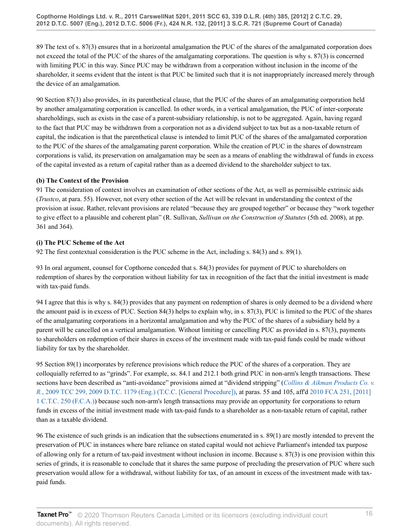89 The text of s. 87(3) ensures that in a horizontal amalgamation the PUC of the shares of the amalgamated corporation does not exceed the total of the PUC of the shares of the amalgamating corporations. The question is why s. 87(3) is concerned with limiting PUC in this way. Since PUC may be withdrawn from a corporation without inclusion in the income of the shareholder, it seems evident that the intent is that PUC be limited such that it is not inappropriately increased merely through the device of an amalgamation.

90 Section 87(3) also provides, in its parenthetical clause, that the PUC of the shares of an amalgamating corporation held by another amalgamating corporation is cancelled. In other words, in a vertical amalgamation, the PUC of inter-corporate shareholdings, such as exists in the case of a parent-subsidiary relationship, is not to be aggregated. Again, having regard to the fact that PUC may be withdrawn from a corporation not as a dividend subject to tax but as a non-taxable return of capital, the indication is that the parenthetical clause is intended to limit PUC of the shares of the amalgamated corporation to the PUC of the shares of the amalgamating parent corporation. While the creation of PUC in the shares of downstream corporations is valid, its preservation on amalgamation may be seen as a means of enabling the withdrawal of funds in excess of the capital invested as a return of capital rather than as a deemed dividend to the shareholder subject to tax.

#### **(b) The Context of the Provision**

91 The consideration of context involves an examination of other sections of the Act, as well as permissible extrinsic aids (*Trustco*, at para. 55). However, not every other section of the Act will be relevant in understanding the context of the provision at issue. Rather, relevant provisions are related "because they are grouped together" or because they "work together to give effect to a plausible and coherent plan" (R. Sullivan, *Sullivan on the Construction of Statutes* (5th ed. 2008), at pp. 361 and 364).

#### **(i) The PUC Scheme of the Act**

92 The first contextual consideration is the PUC scheme in the Act, including s. 84(3) and s. 89(1).

93 In oral argument, counsel for Copthorne conceded that s. 84(3) provides for payment of PUC to shareholders on redemption of shares by the corporation without liability for tax in recognition of the fact that the initial investment is made with tax-paid funds.

94 I agree that this is why s. 84(3) provides that any payment on redemption of shares is only deemed to be a dividend where the amount paid is in excess of PUC. Section 84(3) helps to explain why, in s. 87(3), PUC is limited to the PUC of the shares of the amalgamating corporations in a horizontal amalgamation and why the PUC of the shares of a subsidiary held by a parent will be cancelled on a vertical amalgamation. Without limiting or cancelling PUC as provided in s. 87(3), payments to shareholders on redemption of their shares in excess of the investment made with tax-paid funds could be made without liability for tax by the shareholder.

95 Section 89(1) incorporates by reference provisions which reduce the PUC of the shares of a corporation. They are colloquially referred to as "grinds". For example, ss. 84.1 and 212.1 both grind PUC in non-arm's length transactions. These sections have been described as "anti-avoidance" provisions aimed at "dividend stripping" (*[Collins & Aikman Products Co. v.](http://v3.taxnetpro.com/Document/I8d7d93935ce25dece0440003ba833f85/View/FullText.html?originationContext=document&vr=3.0&rs=cblt1.0&transitionType=DocumentItem&contextData=(sc.Search)) R.*[, 2009 TCC 299, 2009 D.T.C. 1179 \(Eng.\) \(T.C.C. \[General Procedure\]\)](http://v3.taxnetpro.com/Document/I8d7d93935ce25dece0440003ba833f85/View/FullText.html?originationContext=document&vr=3.0&rs=cblt1.0&transitionType=DocumentItem&contextData=(sc.Search)), at paras. 55 and 105, aff'd [2010 FCA 251, \[2011\]](http://v3.taxnetpro.com/Document/I9310e05a51c227a3e0440003ba833f85/View/FullText.html?originationContext=document&vr=3.0&rs=cblt1.0&transitionType=DocumentItem&contextData=(sc.Search)) [1 C.T.C. 250 \(F.C.A.\)](http://v3.taxnetpro.com/Document/I9310e05a51c227a3e0440003ba833f85/View/FullText.html?originationContext=document&vr=3.0&rs=cblt1.0&transitionType=DocumentItem&contextData=(sc.Search))) because such non-arm's length transactions may provide an opportunity for corporations to return funds in excess of the initial investment made with tax-paid funds to a shareholder as a non-taxable return of capital, rather than as a taxable dividend.

96 The existence of such grinds is an indication that the subsections enumerated in s. 89(1) are mostly intended to prevent the preservation of PUC in instances where bare reliance on stated capital would not achieve Parliament's intended tax purpose of allowing only for a return of tax-paid investment without inclusion in income. Because s. 87(3) is one provision within this series of grinds, it is reasonable to conclude that it shares the same purpose of precluding the preservation of PUC where such preservation would allow for a withdrawal, without liability for tax, of an amount in excess of the investment made with taxpaid funds.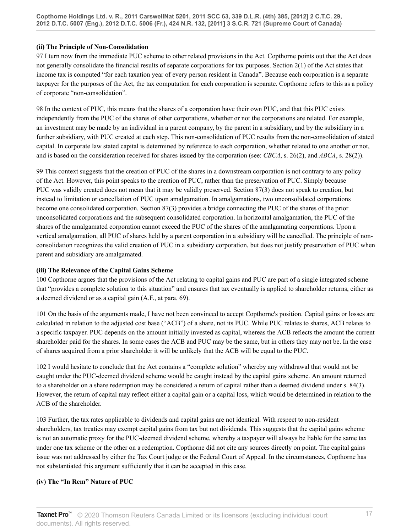#### **(ii) The Principle of Non-Consolidation**

97 I turn now from the immediate PUC scheme to other related provisions in the Act. Copthorne points out that the Act does not generally consolidate the financial results of separate corporations for tax purposes. Section 2(1) of the Act states that income tax is computed "for each taxation year of every person resident in Canada". Because each corporation is a separate taxpayer for the purposes of the Act, the tax computation for each corporation is separate. Copthorne refers to this as a policy of corporate "non-consolidation".

98 In the context of PUC, this means that the shares of a corporation have their own PUC, and that this PUC exists independently from the PUC of the shares of other corporations, whether or not the corporations are related. For example, an investment may be made by an individual in a parent company, by the parent in a subsidiary, and by the subsidiary in a further subsidiary, with PUC created at each step. This non-consolidation of PUC results from the non-consolidation of stated capital. In corporate law stated capital is determined by reference to each corporation, whether related to one another or not, and is based on the consideration received for shares issued by the corporation (see: *CBCA*, s. 26(2), and *ABCA*, s. 28(2)).

99 This context suggests that the creation of PUC of the shares in a downstream corporation is not contrary to any policy of the Act. However, this point speaks to the creation of PUC, rather than the preservation of PUC. Simply because PUC was validly created does not mean that it may be validly preserved. Section 87(3) does not speak to creation, but instead to limitation or cancellation of PUC upon amalgamation. In amalgamations, two unconsolidated corporations become one consolidated corporation. Section 87(3) provides a bridge connecting the PUC of the shares of the prior unconsolidated corporations and the subsequent consolidated corporation. In horizontal amalgamation, the PUC of the shares of the amalgamated corporation cannot exceed the PUC of the shares of the amalgamating corporations. Upon a vertical amalgamation, all PUC of shares held by a parent corporation in a subsidiary will be cancelled. The principle of nonconsolidation recognizes the valid creation of PUC in a subsidiary corporation, but does not justify preservation of PUC when parent and subsidiary are amalgamated.

#### **(iii) The Relevance of the Capital Gains Scheme**

100 Copthorne argues that the provisions of the Act relating to capital gains and PUC are part of a single integrated scheme that "provides a complete solution to this situation" and ensures that tax eventually is applied to shareholder returns, either as a deemed dividend or as a capital gain (A.F., at para. 69).

101 On the basis of the arguments made, I have not been convinced to accept Copthorne's position. Capital gains or losses are calculated in relation to the adjusted cost base ("ACB") of a share, not its PUC. While PUC relates to shares, ACB relates to a specific taxpayer. PUC depends on the amount initially invested as capital, whereas the ACB reflects the amount the current shareholder paid for the shares. In some cases the ACB and PUC may be the same, but in others they may not be. In the case of shares acquired from a prior shareholder it will be unlikely that the ACB will be equal to the PUC.

102 I would hesitate to conclude that the Act contains a "complete solution" whereby any withdrawal that would not be caught under the PUC-deemed dividend scheme would be caught instead by the capital gains scheme. An amount returned to a shareholder on a share redemption may be considered a return of capital rather than a deemed dividend under s. 84(3). However, the return of capital may reflect either a capital gain or a capital loss, which would be determined in relation to the ACB of the shareholder.

103 Further, the tax rates applicable to dividends and capital gains are not identical. With respect to non-resident shareholders, tax treaties may exempt capital gains from tax but not dividends. This suggests that the capital gains scheme is not an automatic proxy for the PUC-deemed dividend scheme, whereby a taxpayer will always be liable for the same tax under one tax scheme or the other on a redemption. Copthorne did not cite any sources directly on point. The capital gains issue was not addressed by either the Tax Court judge or the Federal Court of Appeal. In the circumstances, Copthorne has not substantiated this argument sufficiently that it can be accepted in this case.

# **(iv) The "In Rem" Nature of PUC**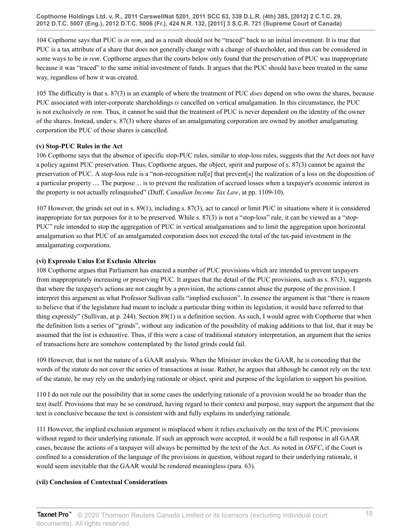104 Copthorne says that PUC is *in rem*, and as a result should not be "traced" back to an initial investment. It is true that PUC is a tax attribute of a share that does not generally change with a change of shareholder, and thus can be considered in some ways to be *in rem*. Copthorne argues that the courts below only found that the preservation of PUC was inappropriate because it was "traced" to the same initial investment of funds. It argues that the PUC should have been treated in the same way, regardless of how it was created.

105 The difficulty is that s. 87(3) is an example of where the treatment of PUC *does* depend on who owns the shares, because PUC associated with inter-corporate shareholdings *is* cancelled on vertical amalgamation. In this circumstance, the PUC is not exclusively *in rem*. Thus, it cannot be said that the treatment of PUC is never dependent on the identity of the owner of the shares. Instead, under s. 87(3) where shares of an amalgamating corporation are owned by another amalgamating corporation the PUC of those shares is cancelled.

#### **(v) Stop-PUC Rules in the Act**

106 Copthorne says that the absence of specific stop-PUC rules, similar to stop-loss rules, suggests that the Act does not have a policy against PUC preservation. Thus, Copthorne argues, the object, spirit and purpose of s. 87(3) cannot be against the preservation of PUC. A stop-loss rule is a "non-recognition rul[e] that prevent[s] the realization of a loss on the disposition of a particular property .... The purpose ... is to prevent the realization of accrued losses when a taxpayer's economic interest in the property is not actually relinquished" (Duff, *Canadian Income Tax Law*, at pp. 1109-10).

107 However, the grinds set out in s. 89(1), including s. 87(3), act to cancel or limit PUC in situations where it is considered inappropriate for tax purposes for it to be preserved. While s. 87(3) is not a "stop-loss" rule, it can be viewed as a "stop-PUC" rule intended to stop the aggregation of PUC in vertical amalgamations and to limit the aggregation upon horizontal amalgamation so that PUC of an amalgamated corporation does not exceed the total of the tax-paid investment in the amalgamating corporations.

#### **(vi) Expressio Unius Est Exclusio Alterius**

108 Copthorne argues that Parliament has enacted a number of PUC provisions which are intended to prevent taxpayers from inappropriately increasing or preserving PUC. It argues that the detail of the PUC provisions, such as s. 87(3), suggests that where the taxpayer's actions are not caught by a provision, the actions cannot abuse the purpose of the provision. I interpret this argument as what Professor Sullivan calls "implied exclusion". In essence the argument is that "there is reason to believe that if the legislature had meant to include a particular thing within its legislation, it would have referred to that thing expressly" (Sullivan, at p. 244). Section 89(1) is a definition section. As such, I would agree with Copthorne that when the definition lists a series of "grinds", without any indication of the possibility of making additions to that list, that it may be assumed that the list is exhaustive. Thus, if this were a case of traditional statutory interpretation, an argument that the series of transactions here are somehow contemplated by the listed grinds could fail.

109 However, that is not the nature of a GAAR analysis. When the Minister invokes the GAAR, he is conceding that the words of the statute do not cover the series of transactions at issue. Rather, he argues that although he cannot rely on the text of the statute, he may rely on the underlying rationale or object, spirit and purpose of the legislation to support his position.

110 I do not rule out the possibility that in some cases the underlying rationale of a provision would be no broader than the text itself. Provisions that may be so construed, having regard to their context and purpose, may support the argument that the text is conclusive because the text is consistent with and fully explains its underlying rationale.

111 However, the implied exclusion argument is misplaced where it relies exclusively on the text of the PUC provisions without regard to their underlying rationale. If such an approach were accepted, it would be a full response in all GAAR cases, because the actions of a taxpayer will always be permitted by the text of the Act. As noted in *OSFC*, if the Court is confined to a consideration of the language of the provisions in question, without regard to their underlying rationale, it would seem inevitable that the GAAR would be rendered meaningless (para. 63).

#### **(vii) Conclusion of Contextual Considerations**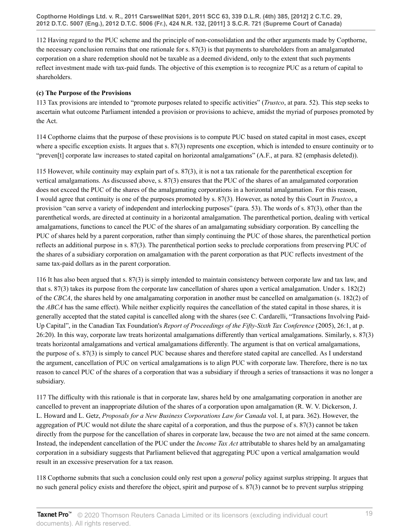112 Having regard to the PUC scheme and the principle of non-consolidation and the other arguments made by Copthorne, the necessary conclusion remains that one rationale for s. 87(3) is that payments to shareholders from an amalgamated corporation on a share redemption should not be taxable as a deemed dividend, only to the extent that such payments reflect investment made with tax-paid funds. The objective of this exemption is to recognize PUC as a return of capital to shareholders.

#### **(c) The Purpose of the Provisions**

113 Tax provisions are intended to "promote purposes related to specific activities" (*Trustco*, at para. 52). This step seeks to ascertain what outcome Parliament intended a provision or provisions to achieve, amidst the myriad of purposes promoted by the Act.

114 Copthorne claims that the purpose of these provisions is to compute PUC based on stated capital in most cases, except where a specific exception exists. It argues that s. 87(3) represents one exception, which is intended to ensure continuity or to "preven[t] corporate law increases to stated capital on horizontal amalgamations" (A.F., at para. 82 (emphasis deleted)).

115 However, while continuity may explain part of s. 87(3), it is not a tax rationale for the parenthetical exception for vertical amalgamations. As discussed above, s. 87(3) ensures that the PUC of the shares of an amalgamated corporation does not exceed the PUC of the shares of the amalgamating corporations in a horizontal amalgamation. For this reason, I would agree that continuity is one of the purposes promoted by s. 87(3). However, as noted by this Court in *Trustco*, a provision "can serve a variety of independent and interlocking purposes" (para. 53). The words of s. 87(3), other than the parenthetical words, are directed at continuity in a horizontal amalgamation. The parenthetical portion, dealing with vertical amalgamations, functions to cancel the PUC of the shares of an amalgamating subsidiary corporation. By cancelling the PUC of shares held by a parent corporation, rather than simply continuing the PUC of those shares, the parenthetical portion reflects an additional purpose in s. 87(3). The parenthetical portion seeks to preclude corporations from preserving PUC of the shares of a subsidiary corporation on amalgamation with the parent corporation as that PUC reflects investment of the same tax-paid dollars as in the parent corporation.

116 It has also been argued that s. 87(3) is simply intended to maintain consistency between corporate law and tax law, and that s. 87(3) takes its purpose from the corporate law cancellation of shares upon a vertical amalgamation. Under s. 182(2) of the *CBCA*, the shares held by one amalgamating corporation in another must be cancelled on amalgamation (s. 182(2) of the *ABCA* has the same effect). While neither explicitly requires the cancellation of the stated capital in those shares, it is generally accepted that the stated capital is cancelled along with the shares (see C. Cardarelli, "Transactions Involving Paid-Up Capital", in the Canadian Tax Foundation's *Report of Proceedings of the Fifty-Sixth Tax Conference* (2005), 26:1, at p. 26:20). In this way, corporate law treats horizontal amalgamations differently than vertical amalgamations. Similarly, s. 87(3) treats horizontal amalgamations and vertical amalgamations differently. The argument is that on vertical amalgamations, the purpose of s. 87(3) is simply to cancel PUC because shares and therefore stated capital are cancelled. As I understand the argument, cancellation of PUC on vertical amalgamations is to align PUC with corporate law. Therefore, there is no tax reason to cancel PUC of the shares of a corporation that was a subsidiary if through a series of transactions it was no longer a subsidiary.

117 The difficulty with this rationale is that in corporate law, shares held by one amalgamating corporation in another are cancelled to prevent an inappropriate dilution of the shares of a corporation upon amalgamation (R. W. V. Dickerson, J. L. Howard and L. Getz, *Proposals for a New Business Corporations Law for Canada* vol. I, at para. 362). However, the aggregation of PUC would not dilute the share capital of a corporation, and thus the purpose of s. 87(3) cannot be taken directly from the purpose for the cancellation of shares in corporate law, because the two are not aimed at the same concern. Instead, the independent cancellation of the PUC under the *Income Tax Act* attributable to shares held by an amalgamating corporation in a subsidiary suggests that Parliament believed that aggregating PUC upon a vertical amalgamation would result in an excessive preservation for a tax reason.

118 Copthorne submits that such a conclusion could only rest upon a *general* policy against surplus stripping. It argues that no such general policy exists and therefore the object, spirit and purpose of s. 87(3) cannot be to prevent surplus stripping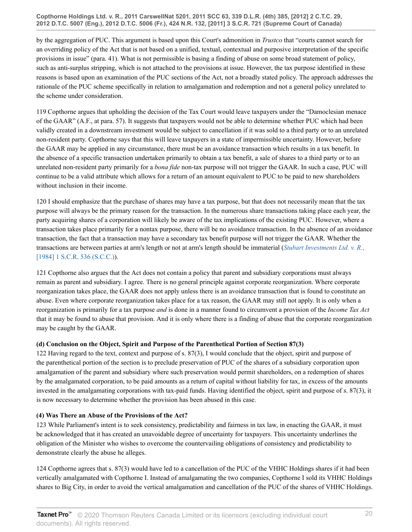#### **Copthorne Holdings Ltd. v. R., 2011 CarswellNat 5201, 2011 SCC 63, 339 D.L.R. (4th) 385, [2012] 2 C.T.C. 29, 2012 D.T.C. 5007 (Eng.), 2012 D.T.C. 5006 (Fr.), 424 N.R. 132, [2011] 3 S.C.R. 721 (Supreme Court of Canada)**

by the aggregation of PUC. This argument is based upon this Court's admonition in *Trustco* that "courts cannot search for an overriding policy of the Act that is not based on a unified, textual, contextual and purposive interpretation of the specific provisions in issue" (para. 41). What is not permissible is basing a finding of abuse on some broad statement of policy, such as anti-surplus stripping, which is not attached to the provisions at issue. However, the tax purpose identified in these reasons is based upon an examination of the PUC sections of the Act, not a broadly stated policy. The approach addresses the rationale of the PUC scheme specifically in relation to amalgamation and redemption and not a general policy unrelated to the scheme under consideration.

119 Copthorne argues that upholding the decision of the Tax Court would leave taxpayers under the "Damoclesian menace of the GAAR" (A.F., at para. 57). It suggests that taxpayers would not be able to determine whether PUC which had been validly created in a downstream investment would be subject to cancellation if it was sold to a third party or to an unrelated non-resident party. Copthorne says that this will leave taxpayers in a state of impermissible uncertainty. However, before the GAAR may be applied in any circumstance, there must be an avoidance transaction which results in a tax benefit. In the absence of a specific transaction undertaken primarily to obtain a tax benefit, a sale of shares to a third party or to an unrelated non-resident party primarily for a *bona fide* non-tax purpose will not trigger the GAAR. In such a case, PUC will continue to be a valid attribute which allows for a return of an amount equivalent to PUC to be paid to new shareholders without inclusion in their income.

120 I should emphasize that the purchase of shares may have a tax purpose, but that does not necessarily mean that the tax purpose will always be the primary reason for the transaction. In the numerous share transactions taking place each year, the party acquiring shares of a corporation will likely be aware of the tax implications of the existing PUC. However, where a transaction takes place primarily for a nontax purpose, there will be no avoidance transaction. In the absence of an avoidance transaction, the fact that a transaction may have a secondary tax benefit purpose will not trigger the GAAR. Whether the transactions are between parties at arm's length or not at arm's length should be immaterial (*[Stubart Investments Ltd. v. R.](http://v3.taxnetpro.com/Document/I8d7d939468ac5dece0440003ba833f85/View/FullText.html?originationContext=document&vr=3.0&rs=cblt1.0&transitionType=DocumentItem&contextData=(sc.Search))*, [\[1984\] 1 S.C.R. 536 \(S.C.C.\)](http://v3.taxnetpro.com/Document/I8d7d939468ac5dece0440003ba833f85/View/FullText.html?originationContext=document&vr=3.0&rs=cblt1.0&transitionType=DocumentItem&contextData=(sc.Search))).

121 Copthorne also argues that the Act does not contain a policy that parent and subsidiary corporations must always remain as parent and subsidiary. I agree. There is no general principle against corporate reorganization. Where corporate reorganization takes place, the GAAR does not apply unless there is an avoidance transaction that is found to constitute an abuse. Even where corporate reorganization takes place for a tax reason, the GAAR may still not apply. It is only when a reorganization is primarily for a tax purpose *and* is done in a manner found to circumvent a provision of the *Income Tax Act* that it may be found to abuse that provision. And it is only where there is a finding of abuse that the corporate reorganization may be caught by the GAAR.

#### **(d) Conclusion on the Object, Spirit and Purpose of the Parenthetical Portion of Section 87(3)**

122 Having regard to the text, context and purpose of s. 87(3), I would conclude that the object, spirit and purpose of the parenthetical portion of the section is to preclude preservation of PUC of the shares of a subsidiary corporation upon amalgamation of the parent and subsidiary where such preservation would permit shareholders, on a redemption of shares by the amalgamated corporation, to be paid amounts as a return of capital without liability for tax, in excess of the amounts invested in the amalgamating corporations with tax-paid funds. Having identified the object, spirit and purpose of s. 87(3), it is now necessary to determine whether the provision has been abused in this case.

# **(4) Was There an Abuse of the Provisions of the Act?**

123 While Parliament's intent is to seek consistency, predictability and fairness in tax law, in enacting the GAAR, it must be acknowledged that it has created an unavoidable degree of uncertainty for taxpayers. This uncertainty underlines the obligation of the Minister who wishes to overcome the countervailing obligations of consistency and predictability to demonstrate clearly the abuse he alleges.

124 Copthorne agrees that s. 87(3) would have led to a cancellation of the PUC of the VHHC Holdings shares if it had been vertically amalgamated with Copthorne I. Instead of amalgamating the two companies, Copthorne I sold its VHHC Holdings shares to Big City, in order to avoid the vertical amalgamation and cancellation of the PUC of the shares of VHHC Holdings.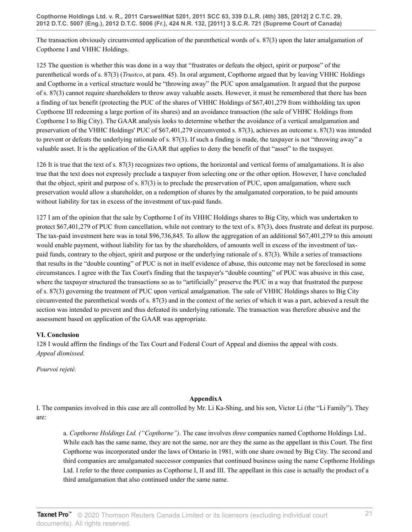The transaction obviously circumvented application of the parenthetical words of s. 87(3) upon the later amalgamation of Copthorne I and VHHC Holdings.

125 The question is whether this was done in a way that "frustrates or defeats the object, spirit or purpose" of the parenthetical words of s. 87(3) (*Trustco*, at para. 45). In oral argument, Copthorne argued that by leaving VHHC Holdings and Copthorne in a vertical structure would be "throwing away" the PUC upon amalgamation. It argued that the purpose of s. 87(3) cannot require shareholders to throw away valuable assets. However, it must be remembered that there has been a finding of tax benefit (protecting the PUC of the shares of VHHC Holdings of \$67,401,279 from withholding tax upon Copthorne III redeeming a large portion of its shares) and an avoidance transaction (the sale of VHHC Holdings from Copthorne I to Big City). The GAAR analysis looks to determine whether the avoidance of a vertical amalgamation and preservation of the VHHC Holdings' PUC of \$67,401,279 circumvented s. 87(3), achieves an outcome s. 87(3) was intended to prevent or defeats the underlying rationale of s. 87(3). If such a finding is made, the taxpayer is not "throwing away" a valuable asset. It is the application of the GAAR that applies to deny the benefit of that "asset" to the taxpayer.

126 It is true that the text of s. 87(3) recognizes two options, the horizontal and vertical forms of amalgamations. It is also true that the text does not expressly preclude a taxpayer from selecting one or the other option. However, I have concluded that the object, spirit and purpose of s. 87(3) is to preclude the preservation of PUC, upon amalgamation, where such preservation would allow a shareholder, on a redemption of shares by the amalgamated corporation, to be paid amounts without liability for tax in excess of the investment of tax-paid funds.

127 I am of the opinion that the sale by Copthorne I of its VHHC Holdings shares to Big City, which was undertaken to protect \$67,401,279 of PUC from cancellation, while not contrary to the text of s. 87(3), does frustrate and defeat its purpose. The tax-paid investment here was in total \$96,736,845. To allow the aggregation of an additional \$67,401,279 to this amount would enable payment, without liability for tax by the shareholders, of amounts well in excess of the investment of taxpaid funds, contrary to the object, spirit and purpose or the underlying rationale of s. 87(3). While a series of transactions that results in the "double counting" of PUC is not in itself evidence of abuse, this outcome may not be foreclosed in some circumstances. I agree with the Tax Court's finding that the taxpayer's "double counting" of PUC was abusive in this case, where the taxpayer structured the transactions so as to "artificially" preserve the PUC in a way that frustrated the purpose of s. 87(3) governing the treatment of PUC upon vertical amalgamation. The sale of VHHC Holdings shares to Big City circumvented the parenthetical words of s. 87(3) and in the context of the series of which it was a part, achieved a result the section was intended to prevent and thus defeated its underlying rationale. The transaction was therefore abusive and the assessment based on application of the GAAR was appropriate.

# **VI. Conclusion**

128 I would affirm the findings of the Tax Court and Federal Court of Appeal and dismiss the appeal with costs. *Appeal dismissed.*

*Pourvoi rejeté.*

# **AppendixA**

I. The companies involved in this case are all controlled by Mr. Li Ka-Shing, and his son, Victor Li (the "Li Family"). They are:

a. *Copthorne Holdings Ltd. ("Copthorne")*. The case involves *three* companies named Copthorne Holdings Ltd.. While each has the same name, they are not the same, nor are they the same as the appellant in this Court. The first Copthorne was incorporated under the laws of Ontario in 1981, with one share owned by Big City. The second and third companies are amalgamated successor companies that continued business using the name Copthorne Holdings Ltd. I refer to the three companies as Copthorne I, II and III. The appellant in this case is actually the product of a third amalgamation that also continued under the same name.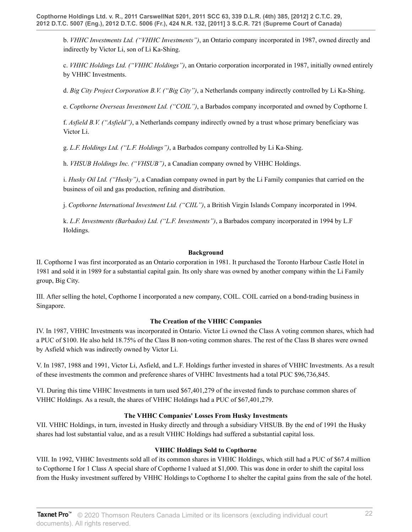b. *VHHC Investments Ltd. ("VHHC Investments")*, an Ontario company incorporated in 1987, owned directly and indirectly by Victor Li, son of Li Ka-Shing.

c. *VHHC Holdings Ltd. ("VHHC Holdings")*, an Ontario corporation incorporated in 1987, initially owned entirely by VHHC Investments.

d. *Big City Project Corporation B.V. ("Big City")*, a Netherlands company indirectly controlled by Li Ka-Shing.

e. *Copthorne Overseas Investment Ltd. ("COIL")*, a Barbados company incorporated and owned by Copthorne I.

f. *Asfield B.V. ("Asfield")*, a Netherlands company indirectly owned by a trust whose primary beneficiary was Victor Li.

g. *L.F. Holdings Ltd. ("L.F. Holdings")*, a Barbados company controlled by Li Ka-Shing.

h. *VHSUB Holdings Inc. ("VHSUB")*, a Canadian company owned by VHHC Holdings.

i. *Husky Oil Ltd. ("Husky")*, a Canadian company owned in part by the Li Family companies that carried on the business of oil and gas production, refining and distribution.

j. *Copthorne International Investment Ltd. ("CIIL")*, a British Virgin Islands Company incorporated in 1994.

k. *L.F. Investments (Barbados) Ltd. ("L.F. Investments")*, a Barbados company incorporated in 1994 by L.F Holdings.

# **Background**

II. Copthorne I was first incorporated as an Ontario corporation in 1981. It purchased the Toronto Harbour Castle Hotel in 1981 and sold it in 1989 for a substantial capital gain. Its only share was owned by another company within the Li Family group, Big City.

III. After selling the hotel, Copthorne I incorporated a new company, COIL. COIL carried on a bond-trading business in Singapore.

# **The Creation of the VHHC Companies**

IV. In 1987, VHHC Investments was incorporated in Ontario. Victor Li owned the Class A voting common shares, which had a PUC of \$100. He also held 18.75% of the Class B non-voting common shares. The rest of the Class B shares were owned by Asfield which was indirectly owned by Victor Li.

V. In 1987, 1988 and 1991, Victor Li, Asfield, and L.F. Holdings further invested in shares of VHHC Investments. As a result of these investments the common and preference shares of VHHC Investments had a total PUC \$96,736,845.

VI. During this time VHHC Investments in turn used \$67,401,279 of the invested funds to purchase common shares of VHHC Holdings. As a result, the shares of VHHC Holdings had a PUC of \$67,401,279.

# **The VHHC Companies' Losses From Husky Investments**

VII. VHHC Holdings, in turn, invested in Husky directly and through a subsidiary VHSUB. By the end of 1991 the Husky shares had lost substantial value, and as a result VHHC Holdings had suffered a substantial capital loss.

# **VHHC Holdings Sold to Copthorne**

VIII. In 1992, VHHC Investments sold all of its common shares in VHHC Holdings, which still had a PUC of \$67.4 million to Copthorne I for 1 Class A special share of Copthorne I valued at \$1,000. This was done in order to shift the capital loss from the Husky investment suffered by VHHC Holdings to Copthorne I to shelter the capital gains from the sale of the hotel.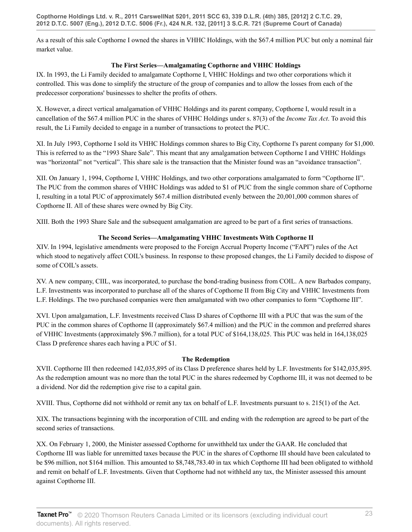As a result of this sale Copthorne I owned the shares in VHHC Holdings, with the \$67.4 million PUC but only a nominal fair market value.

# **The First Series—Amalgamating Copthorne and VHHC Holdings**

IX. In 1993, the Li Family decided to amalgamate Copthorne I, VHHC Holdings and two other corporations which it controlled. This was done to simplify the structure of the group of companies and to allow the losses from each of the predecessor corporations' businesses to shelter the profits of others.

X. However, a direct vertical amalgamation of VHHC Holdings and its parent company, Copthorne I, would result in a cancellation of the \$67.4 million PUC in the shares of VHHC Holdings under s. 87(3) of the *Income Tax Act*. To avoid this result, the Li Family decided to engage in a number of transactions to protect the PUC.

XI. In July 1993, Copthorne I sold its VHHC Holdings common shares to Big City, Copthorne I's parent company for \$1,000. This is referred to as the "1993 Share Sale". This meant that any amalgamation between Copthorne I and VHHC Holdings was "horizontal" not "vertical". This share sale is the transaction that the Minister found was an "avoidance transaction".

XII. On January 1, 1994, Copthorne I, VHHC Holdings, and two other corporations amalgamated to form "Copthorne II". The PUC from the common shares of VHHC Holdings was added to \$1 of PUC from the single common share of Copthorne I, resulting in a total PUC of approximately \$67.4 million distributed evenly between the 20,001,000 common shares of Copthorne II. All of these shares were owned by Big City.

XIII. Both the 1993 Share Sale and the subsequent amalgamation are agreed to be part of a first series of transactions.

# **The Second Series—Amalgamating VHHC Investments With Copthorne II**

XIV. In 1994, legislative amendments were proposed to the Foreign Accrual Property Income ("FAPI") rules of the Act which stood to negatively affect COIL's business. In response to these proposed changes, the Li Family decided to dispose of some of COIL's assets.

XV. A new company, CIIL, was incorporated, to purchase the bond-trading business from COIL. A new Barbados company, L.F. Investments was incorporated to purchase all of the shares of Copthorne II from Big City and VHHC Investments from L.F. Holdings. The two purchased companies were then amalgamated with two other companies to form "Copthorne III".

XVI. Upon amalgamation, L.F. Investments received Class D shares of Copthorne III with a PUC that was the sum of the PUC in the common shares of Copthorne II (approximately \$67.4 million) and the PUC in the common and preferred shares of VHHC Investments (approximately \$96.7 million), for a total PUC of \$164,138,025. This PUC was held in 164,138,025 Class D preference shares each having a PUC of \$1.

# **The Redemption**

XVII. Copthorne III then redeemed 142,035,895 of its Class D preference shares held by L.F. Investments for \$142,035,895. As the redemption amount was no more than the total PUC in the shares redeemed by Copthorne III, it was not deemed to be a dividend. Nor did the redemption give rise to a capital gain.

XVIII. Thus, Copthorne did not withhold or remit any tax on behalf of L.F. Investments pursuant to s. 215(1) of the Act.

XIX. The transactions beginning with the incorporation of CIIL and ending with the redemption are agreed to be part of the second series of transactions.

XX. On February 1, 2000, the Minister assessed Copthorne for unwithheld tax under the GAAR. He concluded that Copthorne III was liable for unremitted taxes because the PUC in the shares of Copthorne III should have been calculated to be \$96 million, not \$164 million. This amounted to \$8,748,783.40 in tax which Copthorne III had been obligated to withhold and remit on behalf of L.F. Investments. Given that Copthorne had not withheld any tax, the Minister assessed this amount against Copthorne III.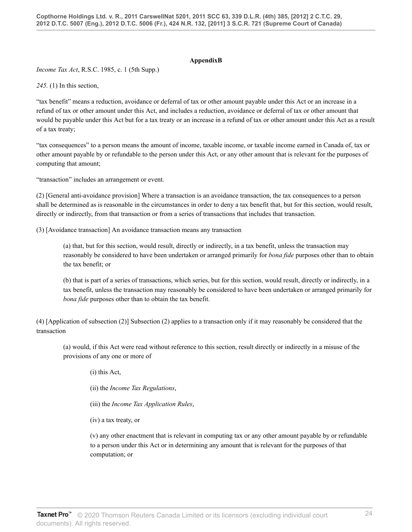#### **AppendixB**

*Income Tax Act*, R.S.C. 1985, c. 1 (5th Supp.)

*245.* (1) In this section,

"tax benefit" means a reduction, avoidance or deferral of tax or other amount payable under this Act or an increase in a refund of tax or other amount under this Act, and includes a reduction, avoidance or deferral of tax or other amount that would be payable under this Act but for a tax treaty or an increase in a refund of tax or other amount under this Act as a result of a tax treaty;

"tax consequences" to a person means the amount of income, taxable income, or taxable income earned in Canada of, tax or other amount payable by or refundable to the person under this Act, or any other amount that is relevant for the purposes of computing that amount;

"transaction" includes an arrangement or event.

(2) [General anti-avoidance provision] Where a transaction is an avoidance transaction, the tax consequences to a person shall be determined as is reasonable in the circumstances in order to deny a tax benefit that, but for this section, would result, directly or indirectly, from that transaction or from a series of transactions that includes that transaction.

(3) [Avoidance transaction] An avoidance transaction means any transaction

(a) that, but for this section, would result, directly or indirectly, in a tax benefit, unless the transaction may reasonably be considered to have been undertaken or arranged primarily for *bona fide* purposes other than to obtain the tax benefit; or

(b) that is part of a series of transactions, which series, but for this section, would result, directly or indirectly, in a tax benefit, unless the transaction may reasonably be considered to have been undertaken or arranged primarily for *bona fide* purposes other than to obtain the tax benefit.

(4) [Application of subsection (2)] Subsection (2) applies to a transaction only if it may reasonably be considered that the transaction

(a) would, if this Act were read without reference to this section, result directly or indirectly in a misuse of the provisions of any one or more of

(i) this Act,

(ii) the *Income Tax Regulations*,

(iii) the *Income Tax Application Rules*,

(iv) a tax treaty, or

(v) any other enactment that is relevant in computing tax or any other amount payable by or refundable to a person under this Act or in determining any amount that is relevant for the purposes of that computation; or